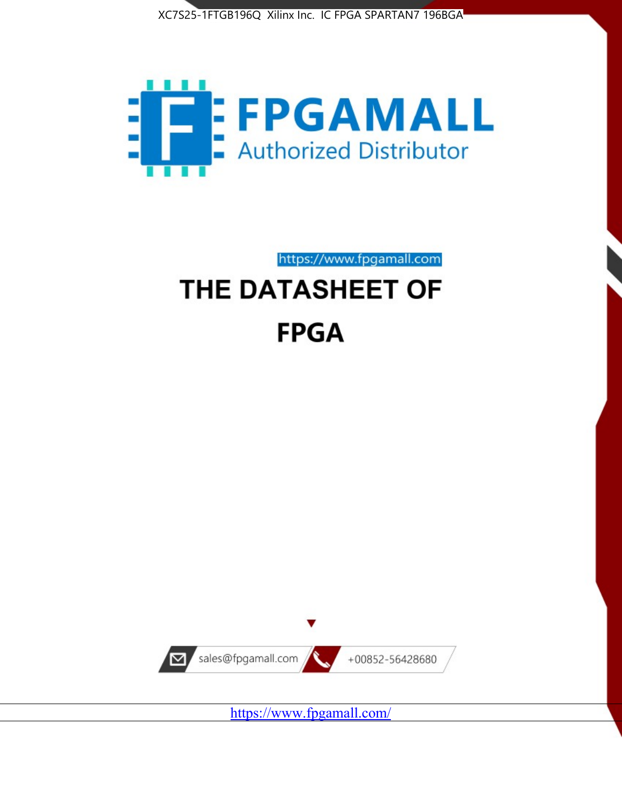



https://www.fpgamall.com

# THE DATASHEET OF **FPGA**



<https://www.fpgamall.com/>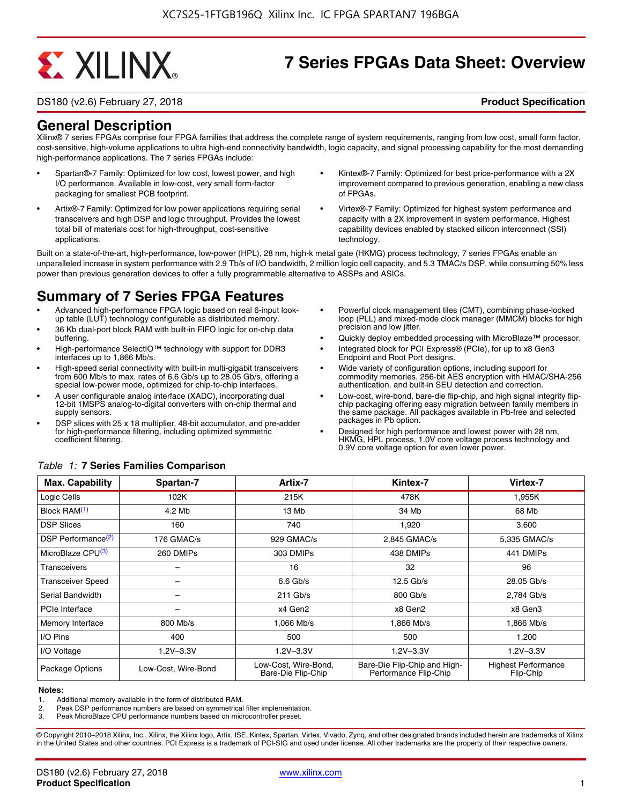# **EXALINX**

# **7 Series FPGAs Data Sheet: Overview**

DS180 (v2.6) February 27, 2018 **Product Specification**

# **General Description**

Xilinx® 7 series FPGAs comprise four FPGA families that address the complete range of system requirements, ranging from low cost, small form factor, cost-sensitive, high-volume applications to ultra high-end connectivity bandwidth, logic capacity, and signal processing capability for the most demanding high-performance applications. The 7 series FPGAs include:

- Spartan®-7 Family: Optimized for low cost, lowest power, and high I/O performance. Available in low-cost, very small form-factor packaging for smallest PCB footprint.
- Artix®-7 Family: Optimized for low power applications requiring serial transceivers and high DSP and logic throughput. Provides the lowest total bill of materials cost for high-throughput, cost-sensitive applications.
- Kintex®-7 Family: Optimized for best price-performance with a 2X improvement compared to previous generation, enabling a new class of FPGAs.
- Virtex®-7 Family: Optimized for highest system performance and capacity with a 2X improvement in system performance. Highest capability devices enabled by stacked silicon interconnect (SSI) technology

Built on a state-of-the-art, high-performance, low-power (HPL), 28 nm, high-k metal gate (HKMG) process technology, 7 series FPGAs enable an unparalleled increase in system performance with 2.9 Tb/s of I/O bandwidth, 2 million logic cell capacity, and 5.3 TMAC/s DSP, while consuming 50% less power than previous generation devices to offer a fully programmable alternative to ASSPs and ASICs.

# **Summary of 7 Series FPGA Features**

- Advanced high-performance FPGA logic based on real 6-input lookup table (LUT) technology configurable as distributed memory.
- 36 Kb dual-port block RAM with built-in FIFO logic for on-chip data buffering.
- High-performance SelectIO™ technology with support for DDR3 interfaces up to 1,866 Mb/s.
- High-speed serial connectivity with built-in multi-gigabit transceivers from 600 Mb/s to max. rates of 6.6 Gb/s up to 28.05 Gb/s, offering a special low-power mode, optimized for chip-to-chip interfaces.
- A user configurable analog interface (XADC), incorporating dual 12-bit 1MSPS analog-to-digital converters with on-chip thermal and supply sensors.
- DSP slices with 25 x 18 multiplier, 48-bit accumulator, and pre-adder for high-performance filtering, including optimized symmetric coefficient filtering.
- Powerful clock management tiles (CMT), combining phase-locked loop (PLL) and mixed-mode clock manager (MMCM) blocks for high precision and low jitter.
- Quickly deploy embedded processing with MicroBlaze™ processor.
- Integrated block for PCI Express® (PCIe), for up to x8 Gen3 Endpoint and Root Port designs.
- Wide variety of configuration options, including support for commodity memories, 256-bit AES encryption with HMAC/SHA-256 authentication, and built-in SEU detection and correction.
- Low-cost, wire-bond, bare-die flip-chip, and high signal integrity flipchip packaging offering easy migration between family members in the same package. All packages available in Pb-free and selected packages in Pb option.
- Designed for high performance and lowest power with 28 nm, HKMG, HPL process, 1.0V core voltage process technology and 0.9V core voltage option for even lower power.

| <b>Max. Capability</b>         | Spartan-7           | Artix-7                                    | Kintex-7                                              | Virtex-7                                |
|--------------------------------|---------------------|--------------------------------------------|-------------------------------------------------------|-----------------------------------------|
| Logic Cells                    | 102K                | 215K                                       | 478K                                                  | 1,955K                                  |
| Block RAM <sup>(1)</sup>       | 4.2 Mb              | 13 Mb                                      | 34 Mb                                                 | 68 Mb                                   |
| <b>DSP Slices</b>              | 160                 | 740                                        | 1,920                                                 | 3,600                                   |
| DSP Performance <sup>(2)</sup> | 176 GMAC/s          | 929 GMAC/s                                 | 2,845 GMAC/s                                          | 5,335 GMAC/s                            |
| MicroBlaze CPU <sup>(3)</sup>  | 260 DMIPs           | 303 DMIPs                                  | 438 DMIPs                                             | 441 DMIPs                               |
| Transceivers                   |                     | 16                                         | 32                                                    | 96                                      |
| <b>Transceiver Speed</b>       |                     | $6.6$ Gb/s                                 | $12.5$ Gb/s                                           | 28.05 Gb/s                              |
| Serial Bandwidth               |                     | $211$ Gb/s                                 | 800 Gb/s                                              | 2,784 Gb/s                              |
| <b>PCIe Interface</b>          | -                   | x4 Gen2                                    | x8 Gen2                                               | x8 Gen3                                 |
| Memory Interface               | 800 Mb/s            | 1.066 Mb/s                                 | 1.866 Mb/s                                            | 1.866 Mb/s                              |
| I/O Pins                       | 400                 | 500                                        | 500                                                   | 1,200                                   |
| I/O Voltage                    | $1.2V - 3.3V$       | $1.2V - 3.3V$                              | $1.2V - 3.3V$                                         | $1.2V - 3.3V$                           |
| Package Options                | Low-Cost. Wire-Bond | Low-Cost, Wire-Bond,<br>Bare-Die Flip-Chip | Bare-Die Flip-Chip and High-<br>Performance Flip-Chip | <b>Highest Performance</b><br>Flip-Chip |

#### *Table 1:* **7 Series Families Comparison**

#### **Notes:**

1. Additional memory available in the form of distributed RAM.

2. Peak DSP performance numbers are based on symmetrical filter implementation.<br>3. Peak MicroBlaze CPU performance numbers based on microcontroller preset.

Peak MicroBlaze CPU performance numbers based on microcontroller preset.

© Copyright 2010–2018 Xilinx, Inc., Xilinx, the Xilinx logo, Artix, ISE, Kintex, Spartan, Virtex, Vivado, Zynq, and other designated brands included herein are trademarks of Xilinx in the United States and other countries. PCI Express is a trademark of PCI-SIG and used under license. All other trademarks are the property of their respective owners.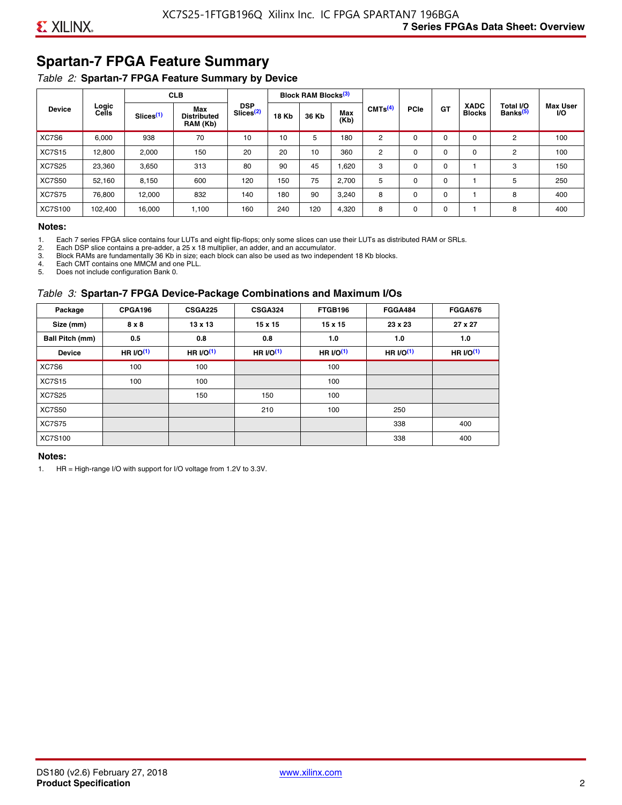# **Spartan-7 FPGA Feature Summary**

#### *Table 2:* **Spartan-7 FPGA Feature Summary by Device**

|               |                |                       | <b>CLB</b>                            |                                     |              | <b>Block RAM Blocks</b> <sup>(3)</sup> |             |                                      |             |             |                              |                                   |                              |
|---------------|----------------|-----------------------|---------------------------------------|-------------------------------------|--------------|----------------------------------------|-------------|--------------------------------------|-------------|-------------|------------------------------|-----------------------------------|------------------------------|
| <b>Device</b> | Logic<br>Cells | Slices <sup>(1)</sup> | Max<br><b>Distributed</b><br>RAM (Kb) | <b>DSP</b><br>Slices <sup>(2)</sup> | <b>18 Kb</b> | 36 Kb                                  | Max<br>(Kb) | CMTS <sup>(4)</sup><br>2<br>$\Omega$ | <b>PCle</b> | <b>GT</b>   | <b>XADC</b><br><b>Blocks</b> | Total I/O<br>Banks <sup>(5)</sup> | <b>Max User</b><br><b>VO</b> |
| XC7S6         | 6,000          | 938                   | 70                                    | 10                                  | 10           | 5                                      | 180         |                                      |             | 0           | 0                            | 2                                 | 100                          |
| <b>XC7S15</b> | 12,800         | 2,000                 | 150                                   | 20                                  | 20           | 10                                     | 360         | 2                                    | $\Omega$    | $\mathbf 0$ | 0                            | 2                                 | 100                          |
| <b>XC7S25</b> | 23,360         | 3,650                 | 313                                   | 80                                  | 90           | 45                                     | 1,620       | 3                                    | 0           | 0           |                              | 3                                 | 150                          |
| <b>XC7S50</b> | 52,160         | 8,150                 | 600                                   | 120                                 | 150          | 75                                     | 2,700       | 5                                    | $\Omega$    | 0           |                              | 5                                 | 250                          |
| <b>XC7S75</b> | 76,800         | 12,000                | 832                                   | 140                                 | 180          | 90                                     | 3,240       | 8                                    | 0           | 0           |                              | 8                                 | 400                          |
| XC7S100       | 102,400        | 16.000                | 1,100                                 | 160                                 | 240          | 120                                    | 4,320       | 8                                    | 0           | 0           |                              | 8                                 | 400                          |

#### **Notes:**

1. Each 7 series FPGA slice contains four LUTs and eight flip-flops; only some slices can use their LUTs as distributed RAM or SRLs.<br>2. Each DSP slice contains a pre-adder. a 25 x 18 multiplier. an adder. and an accumulato

2. Each DSP slice contains a pre-adder, a 25 x 18 multiplier, an adder, and an accumulator. 3. Block RAMs are fundamentally 36 Kb in size; each block can also be used as two independent 18 Kb blocks.

4. Each CMT contains one MMCM and one PLL.

5. Does not include configuration Bank 0.

#### *Table 3:* **Spartan-7 FPGA Device-Package Combinations and Maximum I/Os**

| Package         | CPGA196      | <b>CSGA225</b> | <b>CSGA324</b> | FTGB196    | <b>FGGA484</b> | <b>FGGA676</b> |
|-----------------|--------------|----------------|----------------|------------|----------------|----------------|
| Size (mm)       | $8 \times 8$ | $13 \times 13$ | $15 \times 15$ | 15 x 15    | 23 x 23        | 27 x 27        |
| Ball Pitch (mm) | 0.5          | 0.8            | 0.8            | 1.0        | 1.0            | 1.0            |
| <b>Device</b>   | HR $l$ (1)   | HR $UO(1)$     | HR $UO(1)$     | HR $UO(1)$ | HR $UO(1)$     | HR $UO(1)$     |
| XC7S6           | 100          | 100            |                | 100        |                |                |
| <b>XC7S15</b>   | 100          | 100            |                | 100        |                |                |
| <b>XC7S25</b>   |              | 150            | 150            | 100        |                |                |
| <b>XC7S50</b>   |              |                | 210            | 100        | 250            |                |
| <b>XC7S75</b>   |              |                |                |            | 338            | 400            |
| <b>XC7S100</b>  |              |                |                |            | 338            | 400            |

#### **Notes:**

1. HR = High-range I/O with support for I/O voltage from 1.2V to 3.3V.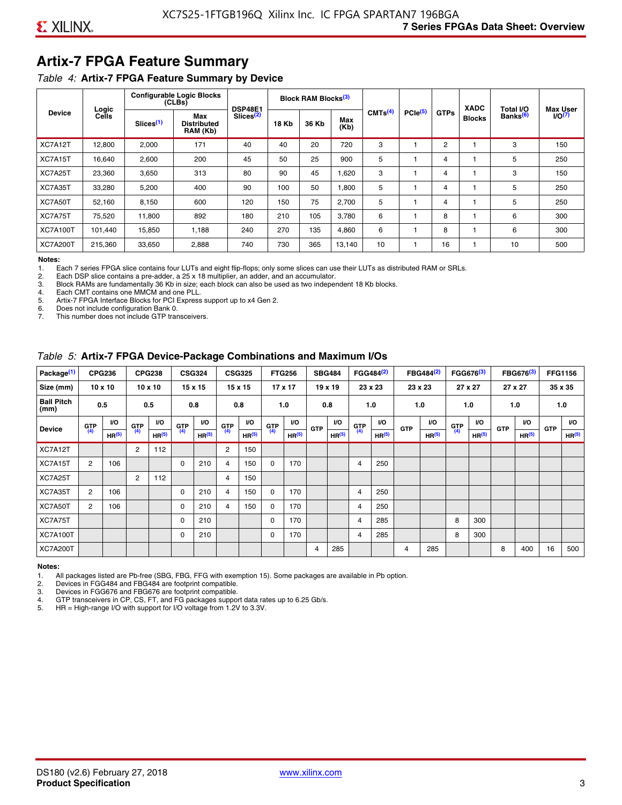# **Artix-7 FPGA Feature Summary**

#### *Table 4:* **Artix-7 FPGA Feature Summary by Device**

|                 | Logic   |                       | <b>Configurable Logic Blocks</b><br>(CLES) | <b>DSP48E1</b>        |              | <b>Block RAM Blocks</b> <sup>(3)</sup> |             |                     |              |             | <b>XADC</b>   | Total I/O            | <b>Max User</b> |
|-----------------|---------|-----------------------|--------------------------------------------|-----------------------|--------------|----------------------------------------|-------------|---------------------|--------------|-------------|---------------|----------------------|-----------------|
| <b>Device</b>   | Cells   | Slices <sup>(1)</sup> | Max<br><b>Distributed</b><br>RAM (Kb)      | Slices <sup>(2)</sup> | <b>18 Kb</b> | 36 Kb                                  | Max<br>(Kb) | CMTS <sup>(4)</sup> | $PCle^{(5)}$ | <b>GTPs</b> | <b>Blocks</b> | Banks <sup>(6)</sup> | $I/O(7)$        |
| XC7A12T         | 12,800  | 2,000                 | 171                                        | 40                    | 40           | 20                                     | 720         | 3                   |              | 2           |               | 3                    | 150             |
| XC7A15T         | 16,640  | 2,600                 | 200                                        | 45                    | 50           | 25                                     | 900         | 5                   |              | 4           |               | 5                    | 250             |
| XC7A25T         | 23,360  | 3,650                 | 313                                        | 80                    | 90           | 45                                     | .620        | 3                   |              | 4           |               | 3                    | 150             |
| XC7A35T         | 33,280  | 5,200                 | 400                                        | 90                    | 100          | 50                                     | 008,        | 5                   |              | 4           |               | 5                    | 250             |
| XC7A50T         | 52,160  | 8,150                 | 600                                        | 120                   | 150          | 75                                     | 2,700       | 5                   |              | 4           |               | 5                    | 250             |
| XC7A75T         | 75,520  | 11,800                | 892                                        | 180                   | 210          | 105                                    | 3,780       | 6                   |              | 8           |               | 6                    | 300             |
| <b>XC7A100T</b> | 101.440 | 15.850                | 1.188                                      | 240                   | 270          | 135                                    | 4,860       | 6                   |              | 8           |               | 6                    | 300             |
| <b>XC7A200T</b> | 215,360 | 33,650                | 2,888                                      | 740                   | 730          | 365                                    | 13,140      | 10                  |              | 16          |               | 10                   | 500             |

**Notes:**  Each 7 series FPGA slice contains four LUTs and eight flip-flops; only some slices can use their LUTs as distributed RAM or SRLs.

2. Each DSP slice contains a pre-adder, a 25 x 18 multiplier, an adder, and an accumulator.

3. Block RAMs are fundamentally 36 Kb in size; each block can also be used as two independent 18 Kb blocks.

4. Each CMT contains one MMCM and one PLL.<br>5. Artix-7 FPGA Interface Blocks for PCI Express

5. Artix-7 FPGA Interface Blocks for PCI Express support up to x4 Gen 2.<br>6. Does not include configuration Bank 0.

6. Does not include configuration Bank 0.

This number does not include GTP transceivers.

#### *Table 5:* **Artix-7 FPGA Device-Package Combinations and Maximum I/Os**

| Package <sup>(1)</sup>    |                | <b>CPG236</b>     |            | <b>CPG238</b>     |       | <b>CSG324</b>     |                | <b>CSG325</b>     |      | <b>FTG256</b>     |            | <b>SBG484</b>     |                | FGG484 <sup>(2)</sup> |            | FBG484 <sup>(2)</sup> |       | FGG676 <sup>(3)</sup> |            | FBG676 <sup>(3)</sup> |            | <b>FFG1156</b> |
|---------------------------|----------------|-------------------|------------|-------------------|-------|-------------------|----------------|-------------------|------|-------------------|------------|-------------------|----------------|-----------------------|------------|-----------------------|-------|-----------------------|------------|-----------------------|------------|----------------|
| Size (mm)                 |                | $10 \times 10$    |            | $10 \times 10$    |       | $15 \times 15$    |                | 15 x 15           |      | $17 \times 17$    |            | $19 \times 19$    |                | 23 x 23               |            | 23 x 23               |       | 27 x 27               |            | 27 x 27               |            | 35 x 35        |
| <b>Ball Pitch</b><br>(mm) |                | 0.5               |            | 0.5               |       | 0.8               |                | 0.8               |      | 1.0               |            | 0.8               |                | 1.0                   |            | 1.0                   |       | 1.0                   |            | 1.0                   |            | 1.0            |
| <b>Device</b>             | G(T)           | <b>VO</b>         | <b>GTP</b> | <b>VO</b>         | G(TP) | I/O               | G(TP)          | <b>VO</b>         | G(TP | VO.               | <b>GTP</b> | VO.               | G(TP)          | VO.                   | <b>GTP</b> | VO.                   | G(TP) | <b>VO</b>             | <b>GTP</b> | <b>I/O</b>            | <b>GTP</b> | <b>VO</b>      |
|                           |                | HR <sup>(5)</sup> | (4)        | HR <sup>(5)</sup> |       | HR <sup>(5)</sup> |                | HR <sup>(5)</sup> |      | HR <sup>(5)</sup> |            | HR <sup>(5)</sup> |                | HR <sup>(5)</sup>     |            | HR <sup>(5)</sup>     |       | HR <sup>(5)</sup>     |            | HR <sup>(5)</sup>     |            | HR(5)          |
| XC7A12T                   |                |                   | 2          | 112               |       |                   | $\overline{2}$ | 150               |      |                   |            |                   |                |                       |            |                       |       |                       |            |                       |            |                |
| XC7A15T                   | $\overline{2}$ | 106               |            |                   | 0     | 210               | $\overline{4}$ | 150               | 0    | 170               |            |                   | 4              | 250                   |            |                       |       |                       |            |                       |            |                |
| XC7A25T                   |                |                   | 2          | 112               |       |                   | 4              | 150               |      |                   |            |                   |                |                       |            |                       |       |                       |            |                       |            |                |
| XC7A35T                   | $\overline{2}$ | 106               |            |                   | 0     | 210               | 4              | 150               | 0    | 170               |            |                   | 4              | 250                   |            |                       |       |                       |            |                       |            |                |
| XC7A50T                   | 2              | 106               |            |                   | 0     | 210               | 4              | 150               | 0    | 170               |            |                   | 4              | 250                   |            |                       |       |                       |            |                       |            |                |
| XC7A75T                   |                |                   |            |                   | 0     | 210               |                |                   | 0    | 170               |            |                   | 4              | 285                   |            |                       | 8     | 300                   |            |                       |            |                |
| <b>XC7A100T</b>           |                |                   |            |                   | 0     | 210               |                |                   | 0    | 170               |            |                   | $\overline{4}$ | 285                   |            |                       | 8     | 300                   |            |                       |            |                |
| <b>XC7A200T</b>           |                |                   |            |                   |       |                   |                |                   |      |                   | 4          | 285               |                |                       | 4          | 285                   |       |                       | 8          | 400                   | 16         | 500            |

#### **Notes:**

1. All packages listed are Pb-free (SBG, FBG, FFG with exemption 15). Some packages are available in Pb option.

2. Devices in FGG484 and FBG484 are footprint compatible.

3. Devices in FGG676 and FBG676 are footprint compatible.

4. GTP transceivers in CP, CS, FT, and FG packages support data rates up to 6.25 Gb/s.<br>5. HR = High-range I/O with support for I/O voltage from 1.2V to 3.3V.

HR = High-range I/O with support for I/O voltage from 1.2V to 3.3V.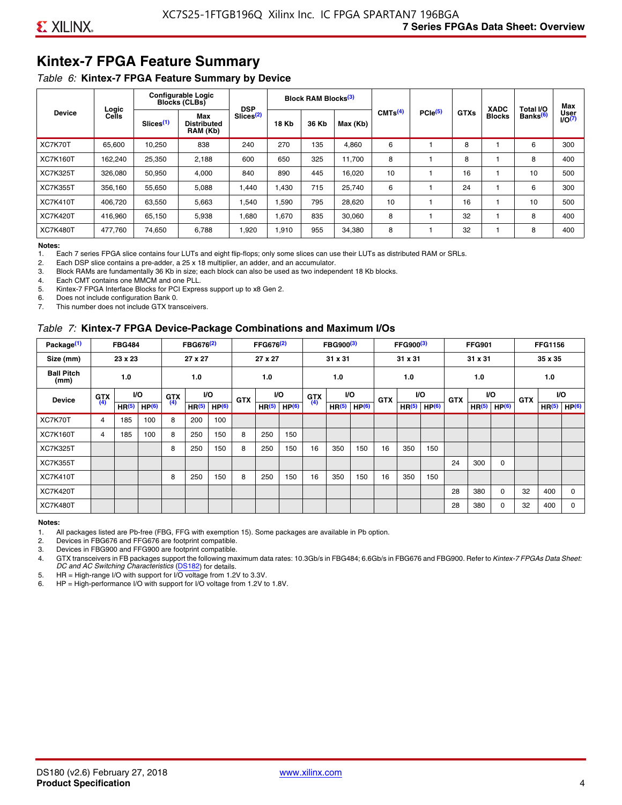# **Kintex-7 FPGA Feature Summary**

#### *Table 6:* **Kintex-7 FPGA Feature Summary by Device**

|                 |                |                       | <b>Configurable Logic</b><br><b>Blocks (CLBs)</b> | <b>DSP</b>            |              | <b>Block RAM Blocks</b> <sup>(3)</sup> |        |                     |              |             | <b>XADC</b>   | Total I/O            | Max                 |
|-----------------|----------------|-----------------------|---------------------------------------------------|-----------------------|--------------|----------------------------------------|--------|---------------------|--------------|-------------|---------------|----------------------|---------------------|
| <b>Device</b>   | Logic<br>Cells | Slices <sup>(1)</sup> | Max<br><b>Distributed</b><br>RAM (Kb)             | Slices <sup>(2)</sup> | <b>18 Kb</b> | 36 Kb<br>Max (Kb)<br>135<br>6          |        | CMTS <sup>(4)</sup> | $PCle^{(5)}$ | <b>GTXs</b> | <b>Blocks</b> | Banks <sup>(6)</sup> | User<br>$U$ O $(7)$ |
| XC7K70T         | 65.600         | 10.250                | 838                                               | 240                   | 270          |                                        | 4,860  |                     |              | 8           |               | 6                    | 300                 |
| <b>XC7K160T</b> | 162,240        | 25,350                | 2,188                                             | 600                   | 650          | 325                                    | 11.700 | 8                   |              | 8           |               | 8                    | 400                 |
| <b>XC7K325T</b> | 326.080        | 50.950                | 4.000                                             | 840                   | 890          | 445                                    | 16,020 | 10                  |              | 16          |               | 10                   | 500                 |
| <b>XC7K355T</b> | 356.160        | 55,650                | 5,088                                             | 1,440                 | 1.430        | 715                                    | 25,740 | 6                   |              | 24          |               | 6                    | 300                 |
| <b>XC7K410T</b> | 406.720        | 63,550                | 5,663                                             | 540. ا                | 1.590        | 795                                    | 28,620 | 10                  |              | 16          |               | 10                   | 500                 |
| <b>XC7K420T</b> | 416.960        | 65.150                | 5,938                                             | 1,680                 | 1.670        | 835                                    | 30,060 | 8                   |              | 32          |               | 8                    | 400                 |
| <b>XC7K480T</b> | 477,760        | 74,650                | 6,788                                             | 1,920                 | 1,910        | 955                                    | 34,380 | 8                   |              | 32          |               | 8                    | 400                 |

#### **Notes:**

1. Each 7 series FPGA slice contains four LUTs and eight flip-flops; only some slices can use their LUTs as distributed RAM or SRLs.<br>2. Each DSP slice contains a pre-adder, a 25 x 18 multiplier, an adder, and an accumulato

Each DSP slice contains a pre-adder, a 25 x 18 multiplier, an adder, and an accumulator.

3. Block RAMs are fundamentally 36 Kb in size; each block can also be used as two independent 18 Kb blocks.

4. Each CMT contains one MMCM and one PLL.

5. Kintex-7 FPGA Interface Blocks for PCI Express support up to x8 Gen 2.

6. Does not include configuration Bank 0.

7. This number does not include GTX transceivers.

#### *Table 7:* **Kintex-7 FPGA Device-Package Combinations and Maximum I/Os**

| Package <sup>(1)</sup>    |            | <b>FBG484</b>     |                   |            | FBG676 <sup>(2)</sup> |                   |            | FFG676 <sup>(2)</sup> |                   |            | FBG900 <sup>(3)</sup> |           |            | FFG900 <sup>(3)</sup> |                   |            | <b>FFG901</b>     |                   |            | <b>FFG1156</b>    |                   |
|---------------------------|------------|-------------------|-------------------|------------|-----------------------|-------------------|------------|-----------------------|-------------------|------------|-----------------------|-----------|------------|-----------------------|-------------------|------------|-------------------|-------------------|------------|-------------------|-------------------|
| Size (mm)                 |            | 23 x 23           |                   |            | 27 x 27               |                   |            | 27 x 27               |                   |            | 31 x 31               |           |            | 31 x 31               |                   |            | 31 x 31           |                   |            | 35 x 35           |                   |
| <b>Ball Pitch</b><br>(mm) |            | 1.0               |                   |            | 1.0                   |                   |            | 1.0                   |                   |            | 1.0                   |           |            | 1.0                   |                   |            | 1.0               |                   |            | 1.0               |                   |
| <b>Device</b>             | <b>GTX</b> |                   | VO.               | <b>GTX</b> | <b>VO</b>             |                   | <b>GTX</b> |                       | <b>VO</b>         | <b>GTX</b> |                       | <b>VO</b> | <b>GTX</b> | <b>VO</b>             |                   | <b>GTX</b> |                   | VO                | <b>GTX</b> | <b>VO</b>         |                   |
|                           | (4)        | HR <sup>(5)</sup> | HP <sup>(6)</sup> | (4)        | HR <sup>(5)</sup>     | HP <sup>(6)</sup> |            | HR <sup>(5)</sup>     | HP <sup>(6)</sup> | (4)        | HR <sup>(5)</sup>     | HP(6)     |            | HR <sup>(5)</sup>     | HP <sup>(6)</sup> |            | HR <sup>(5)</sup> | HP <sup>(6)</sup> |            | HR <sup>(5)</sup> | HP <sup>(6)</sup> |
| XC7K70T                   | 4          | 185               | 100               | 8          | 200                   | 100               |            |                       |                   |            |                       |           |            |                       |                   |            |                   |                   |            |                   |                   |
| <b>XC7K160T</b>           | 4          | 185               | 100               | 8          | 250                   | 150               | 8          | 250                   | 150               |            |                       |           |            |                       |                   |            |                   |                   |            |                   |                   |
| <b>XC7K325T</b>           |            |                   |                   | 8          | 250                   | 150               | 8          | 250                   | 150               | 16         | 350                   | 150       | 16         | 350                   | 150               |            |                   |                   |            |                   |                   |
| <b>XC7K355T</b>           |            |                   |                   |            |                       |                   |            |                       |                   |            |                       |           |            |                       |                   | 24         | 300               | 0                 |            |                   |                   |
| <b>XC7K410T</b>           |            |                   |                   | 8          | 250                   | 150               | 8          | 250                   | 150               | 16         | 350                   | 150       | 16         | 350                   | 150               |            |                   |                   |            |                   |                   |
| <b>XC7K420T</b>           |            |                   |                   |            |                       |                   |            |                       |                   |            |                       |           |            |                       |                   | 28         | 380               | $\Omega$          | 32         | 400               | $\Omega$          |
| <b>XC7K480T</b>           |            |                   |                   |            |                       |                   |            |                       |                   |            |                       |           |            |                       |                   | 28         | 380               | 0                 | 32         | 400               | $\Omega$          |

#### **Notes:**

1. All packages listed are Pb-free (FBG, FFG with exemption 15). Some packages are available in Pb option.

2. Devices in FBG676 and FFG676 are footprint compatible.

3. Devices in FBG900 and FFG900 are footprint compatible. 4. GTX transceivers in FB packages support the following maximum data rates: 10.3Gb/s in FBG484; 6.6Gb/s in FBG676 and FBG900. Refer to *Kintex-7 FPGAs Data Sheet: DC and AC Switching Characteristics* [\(DS182](https://www.xilinx.com/support/documentation/data_sheets/ds182_Kintex_7_Data_Sheet.pdf)) for details.

5. HR = High-range I/O with support for I/O voltage from 1.2V to 3.3V.

6. HP = High-performance I/O with support for I/O voltage from 1.2V to 1.8V.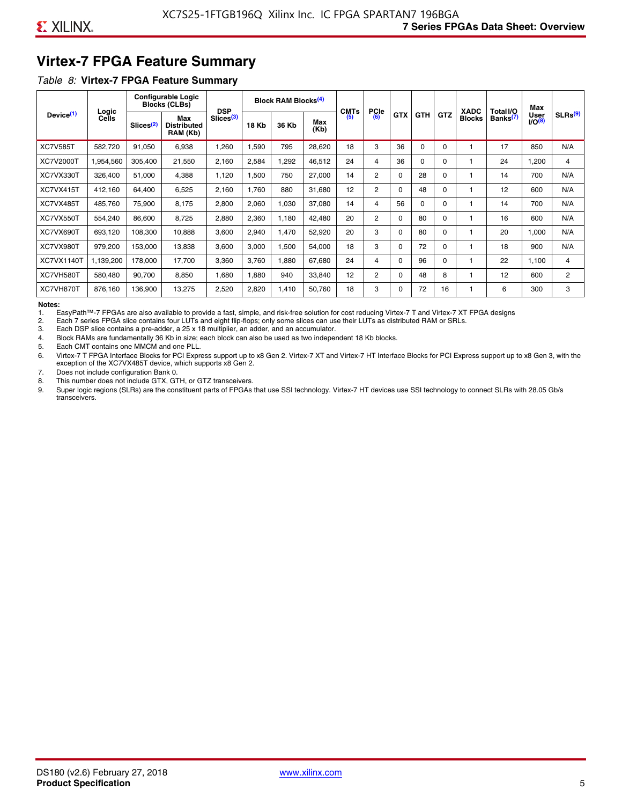# **Virtex-7 FPGA Feature Summary**

#### *Table 8:* **Virtex-7 FPGA Feature Summary**

|                       |                       |                       | <b>Configurable Logic</b><br><b>Blocks (CLBs)</b> | <b>DSP</b>            |       | Block RAM Blocks <sup>(4)</sup> |             | <b>CMTs</b> | <b>PCIe</b>    |            |            |            | <b>XADC</b>   | Total I/O            | Max                 |                     |
|-----------------------|-----------------------|-----------------------|---------------------------------------------------|-----------------------|-------|---------------------------------|-------------|-------------|----------------|------------|------------|------------|---------------|----------------------|---------------------|---------------------|
| Device <sup>(1)</sup> | Logic<br><b>Cells</b> | Slices <sup>(2)</sup> | Max<br><b>Distributed</b><br>RAM (Kb)             | Slices <sup>(3)</sup> | 18 Kb | 36 Kb                           | Max<br>(Kb) | (5)         | (6)            | <b>GTX</b> | <b>GTH</b> | <b>GTZ</b> | <b>Blocks</b> | Banks <sup>(7)</sup> | User<br>$1/O^{(8)}$ | SLRs <sup>(9)</sup> |
| <b>XC7V585T</b>       | 582,720               | 91,050                | 6,938                                             | .260                  | 1,590 | 795                             | 28,620      | 18          | 3              | 36         | 0          | $\Omega$   |               | 17                   | 850                 | N/A                 |
| <b>XC7V2000T</b>      | 1,954,560             | 305,400               | 21,550                                            | 2,160                 | 2,584 | ,292                            | 46,512      | 24          | 4              | 36         | 0          | $\Omega$   |               | 24                   | 1,200               | 4                   |
| XC7VX330T             | 326,400               | 51,000                | 4.388                                             | 1,120                 | 1,500 | 750                             | 27,000      | 14          | $\overline{2}$ | 0          | 28         | $\Omega$   |               | 14                   | 700                 | N/A                 |
| XC7VX415T             | 412,160               | 64.400                | 6,525                                             | 2,160                 | 1.760 | 880                             | 31,680      | 12          | $\overline{2}$ | $\Omega$   | 48         | $\Omega$   |               | 12                   | 600                 | N/A                 |
| XC7VX485T             | 485,760               | 75,900                | 8,175                                             | 2,800                 | 2,060 | 1,030                           | 37,080      | 14          | 4              | 56         | $\Omega$   | $\Omega$   |               | 14                   | 700                 | N/A                 |
| XC7VX550T             | 554,240               | 86,600                | 8,725                                             | 2,880                 | 2,360 | 1,180                           | 42,480      | 20          | $\overline{2}$ | 0          | 80         | $\Omega$   |               | 16                   | 600                 | N/A                 |
| XC7VX690T             | 693,120               | 108,300               | 10,888                                            | 3,600                 | 2,940 | 1,470                           | 52,920      | 20          | 3              | 0          | 80         | $\Omega$   |               | 20                   | 1,000               | N/A                 |
| XC7VX980T             | 979,200               | 153,000               | 13,838                                            | 3,600                 | 3,000 | 1,500                           | 54,000      | 18          | 3              | 0          | 72         | 0          |               | 18                   | 900                 | N/A                 |
| XC7VX1140T            | 1,139,200             | 178,000               | 17.700                                            | 3,360                 | 3.760 | 1.880                           | 67.680      | 24          | 4              | 0          | 96         | $\Omega$   |               | 22                   | 1.100               | 4                   |
| XC7VH580T             | 580,480               | 90,700                | 8,850                                             | 1,680                 | 1,880 | 940                             | 33,840      | 12          | $\overline{c}$ | 0          | 48         | 8          |               | 12                   | 600                 | $\overline{c}$      |
| XC7VH870T             | 876,160               | 136,900               | 13,275                                            | 2,520                 | 2,820 | 1,410                           | 50,760      | 18          | 3              | 0          | 72         | 16         |               | 6                    | 300                 | 3                   |

#### **Notes:**

1. EasyPath™-7 FPGAs are also available to provide a fast, simple, and risk-free solution for cost reducing Virtex-7 T and Virtex-7 XT FPGA designs

2. Each 7 series FPGA slice contains four LUTs and eight flip-flops; only some slices can use their LUTs as distributed RAM or SRLs.

Each DSP slice contains a pre-adder, a 25 x 18 multiplier, an adder, and an accumulator.

4. Block RAMs are fundamentally 36 Kb in size; each block can also be used as two independent 18 Kb blocks.

5. Each CMT contains one MMCM and one PLL.

6. Virtex-7 T FPGA Interface Blocks for PCI Express support up to x8 Gen 2. Virtex-7 XT and Virtex-7 HT Interface Blocks for PCI Express support up to x8 Gen 3, with the exception of the XC7VX485T device, which supports x8 Gen 2.

7. Does not include configuration Bank 0.

8. This number does not include GTX, GTH, or GTZ transceivers.

9. Super logic regions (SLRs) are the constituent parts of FPGAs that use SSI technology. Virtex-7 HT devices use SSI technology to connect SLRs with 28.05 Gb/s transceivers.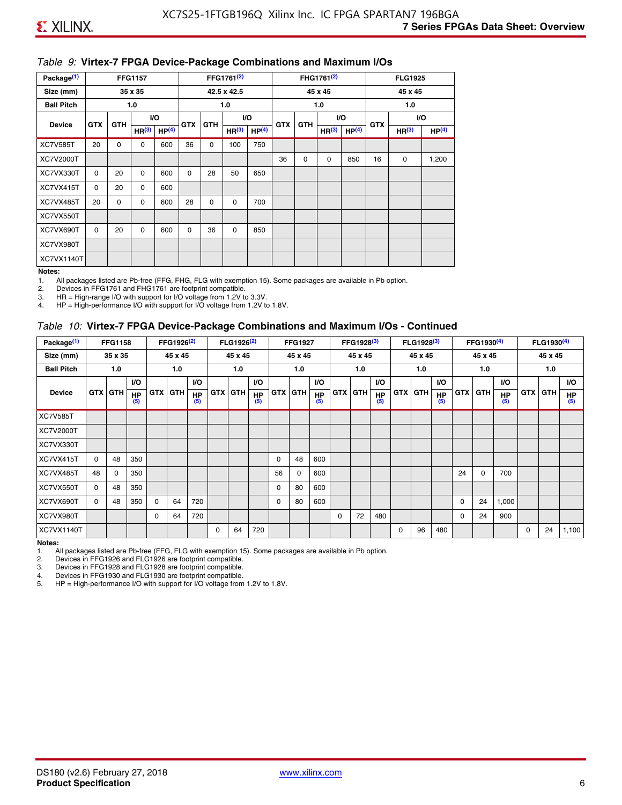#### *Table 9:* **Virtex-7 FPGA Device-Package Combinations and Maximum I/Os**

| Package <sup>(1)</sup> |            |            | <b>FFG1157</b>    |                   |            |            | FFG1761 <sup>(2)</sup> |                   |            |             | FHG1761 <sup>(2)</sup> |                   |            | <b>FLG1925</b>    |                   |
|------------------------|------------|------------|-------------------|-------------------|------------|------------|------------------------|-------------------|------------|-------------|------------------------|-------------------|------------|-------------------|-------------------|
| Size (mm)              |            |            | 35 x 35           |                   |            |            | 42.5 x 42.5            |                   |            |             | 45 x 45                |                   |            | 45 x 45           |                   |
| <b>Ball Pitch</b>      |            |            | 1.0               |                   |            |            | 1.0                    |                   |            |             | 1.0                    |                   |            | 1.0               |                   |
| <b>Device</b>          | <b>GTX</b> | <b>GTH</b> |                   | <b>VO</b>         | <b>GTX</b> | <b>GTH</b> |                        | I/O               | <b>GTX</b> | <b>GTH</b>  | VO.                    |                   | <b>GTX</b> |                   | VO.               |
|                        |            |            | HR <sup>(3)</sup> | HP <sup>(4)</sup> |            |            | HR <sup>(3)</sup>      | HP <sup>(4)</sup> |            |             | HR <sup>(3)</sup>      | HP <sup>(4)</sup> |            | HR <sup>(3)</sup> | HP <sup>(4)</sup> |
| <b>XC7V585T</b>        | 20         | 0          | 0                 | 600               | 36         | 0          | 100                    | 750               |            |             |                        |                   |            |                   |                   |
| XC7V2000T              |            |            |                   |                   |            |            |                        |                   | 36         | $\mathbf 0$ | 0                      | 850               | 16         | 0                 | 1,200             |
| XC7VX330T              | $\Omega$   | 20         | $\Omega$          | 600               | $\Omega$   | 28         | 50                     | 650               |            |             |                        |                   |            |                   |                   |
| XC7VX415T              | $\Omega$   | 20         | $\Omega$          | 600               |            |            |                        |                   |            |             |                        |                   |            |                   |                   |
| XC7VX485T              | 20         | 0          | 0                 | 600               | 28         | 0          | 0                      | 700               |            |             |                        |                   |            |                   |                   |
| XC7VX550T              |            |            |                   |                   |            |            |                        |                   |            |             |                        |                   |            |                   |                   |
| XC7VX690T              | $\Omega$   | 20         | $\Omega$          | 600               | $\Omega$   | 36         | $\Omega$               | 850               |            |             |                        |                   |            |                   |                   |
| XC7VX980T              |            |            |                   |                   |            |            |                        |                   |            |             |                        |                   |            |                   |                   |
| XC7VX1140T             |            |            |                   |                   |            |            |                        |                   |            |             |                        |                   |            |                   |                   |

#### **Notes:**

1. All packages listed are Pb-free (FFG, FHG, FLG with exemption 15). Some packages are available in Pb option.

2. Devices in FFG1761 and FHG1761 are footprint compatible.<br>3. HR = High-range I/O with support for I/O voltage from 1.2V to

HR = High-range I/O with support for I/O voltage from 1.2V to 3.3V.

4. HP = High-performance I/O with support for I/O voltage from 1.2V to 1.8V.

#### *Table 10:* **Virtex-7 FPGA Device-Package Combinations and Maximum I/Os - Continued**

| Package <sup>(1)</sup> |          | <b>FFG1158</b> |                  |            | FFG1926 <sup>(2)</sup> |                  |            | FLG1926 <sup>(2)</sup> |                  |    | <b>FFG1927</b> |                  |            | FFG1928 <sup>(3)</sup> |                  |            | FLG1928 <sup>(3)</sup> |                  |             | FFG1930 <sup>(4)</sup> |                  |            | $FLG1930^{(4)}$ |                  |
|------------------------|----------|----------------|------------------|------------|------------------------|------------------|------------|------------------------|------------------|----|----------------|------------------|------------|------------------------|------------------|------------|------------------------|------------------|-------------|------------------------|------------------|------------|-----------------|------------------|
| Size (mm)              |          | 35 x 35        |                  |            | 45 x 45                |                  |            | 45 x 45                |                  |    | 45 x 45        |                  |            | 45 x 45                |                  |            | 45 x 45                |                  |             | 45 x 45                |                  |            | 45 x 45         |                  |
| <b>Ball Pitch</b>      |          | 1.0            |                  |            | 1.0                    |                  |            | 1.0                    |                  |    | 1.0            |                  |            | 1.0                    |                  |            | 1.0                    |                  |             | 1.0                    |                  |            | 1.0             |                  |
|                        |          |                | <b>VO</b>        |            |                        | <b>VO</b>        |            |                        | <b>VO</b>        |    |                | <b>VO</b>        |            |                        | <b>VO</b>        |            |                        | <b>VO</b>        |             |                        | <b>VO</b>        |            |                 | VO.              |
| <b>Device</b>          |          | <b>GTX GTH</b> | <b>HP</b><br>(5) | <b>GTX</b> | <b>GTH</b>             | <b>HP</b><br>(5) | <b>GTX</b> | <b>GTH</b>             | <b>HP</b><br>(5) |    | <b>GTX GTH</b> | <b>HP</b><br>(5) | <b>GTX</b> | <b>GTH</b>             | <b>HP</b><br>(5) | <b>GTX</b> | <b>GTH</b>             | <b>HP</b><br>(5) | <b>GTX</b>  | GTH                    | <b>HP</b><br>(5) | <b>GTX</b> | GTH             | <b>HP</b><br>(5) |
| <b>XC7V585T</b>        |          |                |                  |            |                        |                  |            |                        |                  |    |                |                  |            |                        |                  |            |                        |                  |             |                        |                  |            |                 |                  |
| XC7V2000T              |          |                |                  |            |                        |                  |            |                        |                  |    |                |                  |            |                        |                  |            |                        |                  |             |                        |                  |            |                 |                  |
| XC7VX330T              |          |                |                  |            |                        |                  |            |                        |                  |    |                |                  |            |                        |                  |            |                        |                  |             |                        |                  |            |                 |                  |
| XC7VX415T              | $\Omega$ | 48             | 350              |            |                        |                  |            |                        |                  | 0  | 48             | 600              |            |                        |                  |            |                        |                  |             |                        |                  |            |                 |                  |
| XC7VX485T              | 48       | 0              | 350              |            |                        |                  |            |                        |                  | 56 | 0              | 600              |            |                        |                  |            |                        |                  | 24          | 0                      | 700              |            |                 |                  |
| XC7VX550T              | 0        | 48             | 350              |            |                        |                  |            |                        |                  | 0  | 80             | 600              |            |                        |                  |            |                        |                  |             |                        |                  |            |                 |                  |
| XC7VX690T              | $\Omega$ | 48             | 350              | $\Omega$   | 64                     | 720              |            |                        |                  | 0  | 80             | 600              |            |                        |                  |            |                        |                  | $\mathbf 0$ | 24                     | 1,000            |            |                 |                  |
| XC7VX980T              |          |                |                  | $\Omega$   | 64                     | 720              |            |                        |                  |    |                |                  | $\Omega$   | 72                     | 480              |            |                        |                  | 0           | 24                     | 900              |            |                 |                  |
| XC7VX1140T             |          |                |                  |            |                        |                  | $\Omega$   | 64                     | 720              |    |                |                  |            |                        |                  | $\Omega$   | 96                     | 480              |             |                        |                  | 0          | 24              | 1,100            |

**Notes:** 

1. All packages listed are Pb-free (FFG, FLG with exemption 15). Some packages are available in Pb option.<br>2. Devices in FFG1926 and FLG1926 are footprint compatible.

2. Devices in FFG1926 and FLG1926 are footprint compatible.

3. Devices in FFG1928 and FLG1928 are footprint compatible.

4. Devices in FFG1930 and FLG1930 are footprint compatible.<br>5. HP = High-performance I/O with support for I/O voltage from HP = High-performance I/O with support for I/O voltage from 1.2V to 1.8V.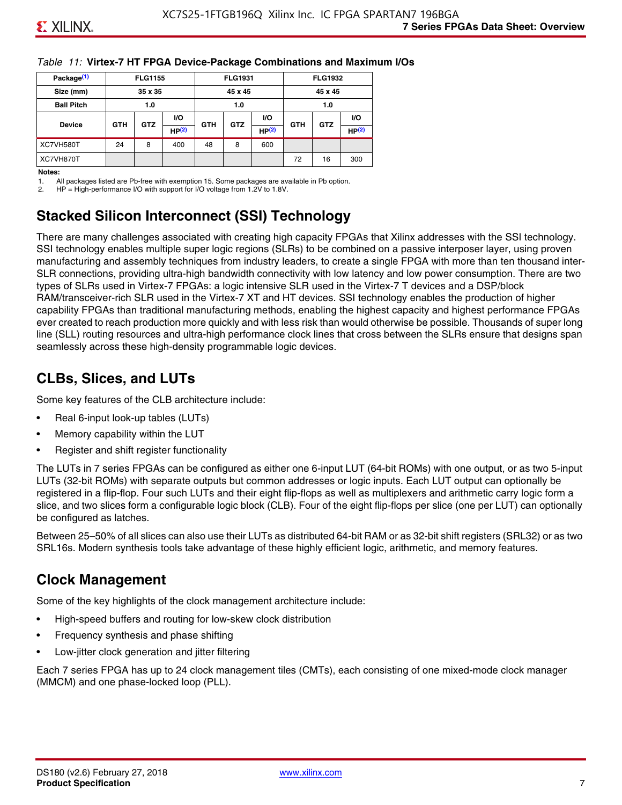#### *Table 11:* **Virtex-7 HT FPGA Device-Package Combinations and Maximum I/Os**

| Package <sup>(1)</sup> |            | <b>FLG1155</b> |       |            | <b>FLG1931</b> |       |            | <b>FLG1932</b> |                   |
|------------------------|------------|----------------|-------|------------|----------------|-------|------------|----------------|-------------------|
| Size (mm)              |            | 35 x 35        |       |            | 45 x 45        |       |            | 45 x 45        |                   |
| <b>Ball Pitch</b>      |            | 1.0            |       |            |                |       | 1.0        |                |                   |
|                        |            |                | VO.   | <b>VO</b>  |                |       |            |                | VO.               |
| <b>Device</b>          | <b>GTH</b> | <b>GTZ</b>     | HP(2) | <b>GTH</b> | <b>GTZ</b>     | HP(2) | <b>GTH</b> | <b>GTZ</b>     | HP <sup>(2)</sup> |
| XC7VH580T              | 24         | 8              | 400   | 48         | 8              | 600   |            |                |                   |
| XC7VH870T              |            |                |       |            |                |       | 72         | 16             | 300               |

#### **Notes:**

1. All packages listed are Pb-free with exemption 15. Some packages are available in Pb option.

2. HP = High-performance I/O with support for I/O voltage from 1.2V to 1.8V.

# **Stacked Silicon Interconnect (SSI) Technology**

There are many challenges associated with creating high capacity FPGAs that Xilinx addresses with the SSI technology. SSI technology enables multiple super logic regions (SLRs) to be combined on a passive interposer layer, using proven manufacturing and assembly techniques from industry leaders, to create a single FPGA with more than ten thousand inter-SLR connections, providing ultra-high bandwidth connectivity with low latency and low power consumption. There are two types of SLRs used in Virtex-7 FPGAs: a logic intensive SLR used in the Virtex-7 T devices and a DSP/block RAM/transceiver-rich SLR used in the Virtex-7 XT and HT devices. SSI technology enables the production of higher capability FPGAs than traditional manufacturing methods, enabling the highest capacity and highest performance FPGAs ever created to reach production more quickly and with less risk than would otherwise be possible. Thousands of super long line (SLL) routing resources and ultra-high performance clock lines that cross between the SLRs ensure that designs span seamlessly across these high-density programmable logic devices.

# **CLBs, Slices, and LUTs**

Some key features of the CLB architecture include:

- Real 6-input look-up tables (LUTs)
- Memory capability within the LUT
- Register and shift register functionality

The LUTs in 7 series FPGAs can be configured as either one 6-input LUT (64-bit ROMs) with one output, or as two 5-input LUTs (32-bit ROMs) with separate outputs but common addresses or logic inputs. Each LUT output can optionally be registered in a flip-flop. Four such LUTs and their eight flip-flops as well as multiplexers and arithmetic carry logic form a slice, and two slices form a configurable logic block (CLB). Four of the eight flip-flops per slice (one per LUT) can optionally be configured as latches.

Between 25–50% of all slices can also use their LUTs as distributed 64-bit RAM or as 32-bit shift registers (SRL32) or as two SRL16s. Modern synthesis tools take advantage of these highly efficient logic, arithmetic, and memory features.

# **Clock Management**

Some of the key highlights of the clock management architecture include:

- High-speed buffers and routing for low-skew clock distribution
- Frequency synthesis and phase shifting
- Low-jitter clock generation and jitter filtering

Each 7 series FPGA has up to 24 clock management tiles (CMTs), each consisting of one mixed-mode clock manager (MMCM) and one phase-locked loop (PLL).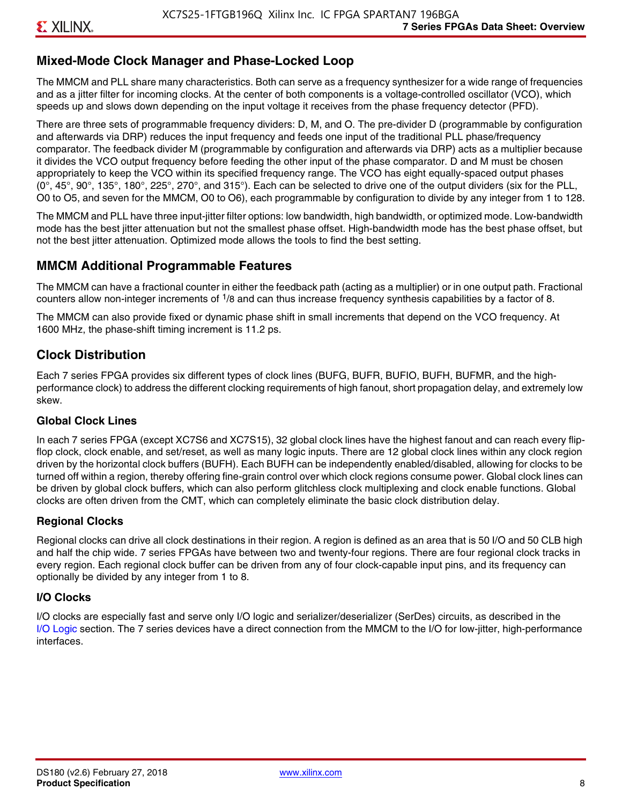### **Mixed-Mode Clock Manager and Phase-Locked Loop**

The MMCM and PLL share many characteristics. Both can serve as a frequency synthesizer for a wide range of frequencies and as a jitter filter for incoming clocks. At the center of both components is a voltage-controlled oscillator (VCO), which speeds up and slows down depending on the input voltage it receives from the phase frequency detector (PFD).

There are three sets of programmable frequency dividers: D, M, and O. The pre-divider D (programmable by configuration and afterwards via DRP) reduces the input frequency and feeds one input of the traditional PLL phase/frequency comparator. The feedback divider M (programmable by configuration and afterwards via DRP) acts as a multiplier because it divides the VCO output frequency before feeding the other input of the phase comparator. D and M must be chosen appropriately to keep the VCO within its specified frequency range. The VCO has eight equally-spaced output phases  $(0^\circ, 45^\circ, 90^\circ, 135^\circ, 180^\circ, 225^\circ, 270^\circ,$  and  $315^\circ$ ). Each can be selected to drive one of the output dividers (six for the PLL, O0 to O5, and seven for the MMCM, O0 to O6), each programmable by configuration to divide by any integer from 1 to 128.

The MMCM and PLL have three input-jitter filter options: low bandwidth, high bandwidth, or optimized mode. Low-bandwidth mode has the best jitter attenuation but not the smallest phase offset. High-bandwidth mode has the best phase offset, but not the best jitter attenuation. Optimized mode allows the tools to find the best setting.

#### **MMCM Additional Programmable Features**

The MMCM can have a fractional counter in either the feedback path (acting as a multiplier) or in one output path. Fractional counters allow non-integer increments of  $1/8$  and can thus increase frequency synthesis capabilities by a factor of 8.

The MMCM can also provide fixed or dynamic phase shift in small increments that depend on the VCO frequency. At 1600 MHz, the phase-shift timing increment is 11.2 ps.

#### **Clock Distribution**

Each 7 series FPGA provides six different types of clock lines (BUFG, BUFR, BUFIO, BUFH, BUFMR, and the highperformance clock) to address the different clocking requirements of high fanout, short propagation delay, and extremely low skew.

#### **Global Clock Lines**

In each 7 series FPGA (except XC7S6 and XC7S15), 32 global clock lines have the highest fanout and can reach every flipflop clock, clock enable, and set/reset, as well as many logic inputs. There are 12 global clock lines within any clock region driven by the horizontal clock buffers (BUFH). Each BUFH can be independently enabled/disabled, allowing for clocks to be turned off within a region, thereby offering fine-grain control over which clock regions consume power. Global clock lines can be driven by global clock buffers, which can also perform glitchless clock multiplexing and clock enable functions. Global clocks are often driven from the CMT, which can completely eliminate the basic clock distribution delay.

#### **Regional Clocks**

Regional clocks can drive all clock destinations in their region. A region is defined as an area that is 50 I/O and 50 CLB high and half the chip wide. 7 series FPGAs have between two and twenty-four regions. There are four regional clock tracks in every region. Each regional clock buffer can be driven from any of four clock-capable input pins, and its frequency can optionally be divided by any integer from 1 to 8.

#### **I/O Clocks**

I/O clocks are especially fast and serve only I/O logic and serializer/deserializer (SerDes) circuits, as described in the I/O Logic section. The 7 series devices have a direct connection from the MMCM to the I/O for low-jitter, high-performance interfaces.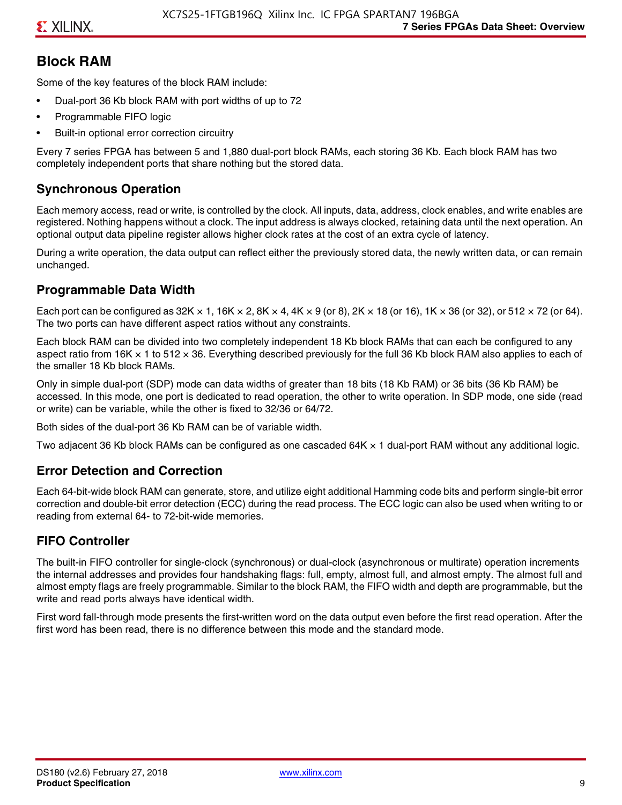# **Block RAM**

Some of the key features of the block RAM include:

- Dual-port 36 Kb block RAM with port widths of up to 72
- Programmable FIFO logic
- Built-in optional error correction circuitry

Every 7 series FPGA has between 5 and 1,880 dual-port block RAMs, each storing 36 Kb. Each block RAM has two completely independent ports that share nothing but the stored data.

# **Synchronous Operation**

Each memory access, read or write, is controlled by the clock. All inputs, data, address, clock enables, and write enables are registered. Nothing happens without a clock. The input address is always clocked, retaining data until the next operation. An optional output data pipeline register allows higher clock rates at the cost of an extra cycle of latency.

During a write operation, the data output can reflect either the previously stored data, the newly written data, or can remain unchanged.

# **Programmable Data Width**

Each port can be configured as 32K  $\times$  1, 16K  $\times$  2, 8K  $\times$  4, 4K  $\times$  9 (or 8), 2K  $\times$  18 (or 16), 1K  $\times$  36 (or 32), or 512  $\times$  72 (or 64). The two ports can have different aspect ratios without any constraints.

Each block RAM can be divided into two completely independent 18 Kb block RAMs that can each be configured to any aspect ratio from 16K  $\times$  1 to 512  $\times$  36. Everything described previously for the full 36 Kb block RAM also applies to each of the smaller 18 Kb block RAMs.

Only in simple dual-port (SDP) mode can data widths of greater than 18 bits (18 Kb RAM) or 36 bits (36 Kb RAM) be accessed. In this mode, one port is dedicated to read operation, the other to write operation. In SDP mode, one side (read or write) can be variable, while the other is fixed to 32/36 or 64/72.

Both sides of the dual-port 36 Kb RAM can be of variable width.

Two adjacent 36 Kb block RAMs can be configured as one cascaded 64K × 1 dual-port RAM without any additional logic.

# **Error Detection and Correction**

Each 64-bit-wide block RAM can generate, store, and utilize eight additional Hamming code bits and perform single-bit error correction and double-bit error detection (ECC) during the read process. The ECC logic can also be used when writing to or reading from external 64- to 72-bit-wide memories.

# **FIFO Controller**

The built-in FIFO controller for single-clock (synchronous) or dual-clock (asynchronous or multirate) operation increments the internal addresses and provides four handshaking flags: full, empty, almost full, and almost empty. The almost full and almost empty flags are freely programmable. Similar to the block RAM, the FIFO width and depth are programmable, but the write and read ports always have identical width.

First word fall-through mode presents the first-written word on the data output even before the first read operation. After the first word has been read, there is no difference between this mode and the standard mode.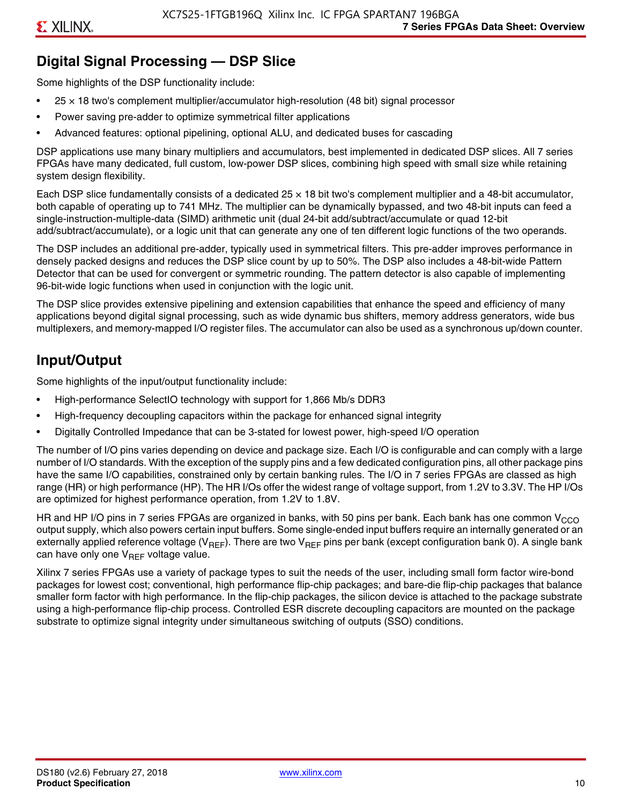# **Digital Signal Processing — DSP Slice**

Some highlights of the DSP functionality include:

- $25 \times 18$  two's complement multiplier/accumulator high-resolution (48 bit) signal processor
- Power saving pre-adder to optimize symmetrical filter applications
- Advanced features: optional pipelining, optional ALU, and dedicated buses for cascading

DSP applications use many binary multipliers and accumulators, best implemented in dedicated DSP slices. All 7 series FPGAs have many dedicated, full custom, low-power DSP slices, combining high speed with small size while retaining system design flexibility.

Each DSP slice fundamentally consists of a dedicated 25 × 18 bit two's complement multiplier and a 48-bit accumulator, both capable of operating up to 741 MHz. The multiplier can be dynamically bypassed, and two 48-bit inputs can feed a single-instruction-multiple-data (SIMD) arithmetic unit (dual 24-bit add/subtract/accumulate or quad 12-bit add/subtract/accumulate), or a logic unit that can generate any one of ten different logic functions of the two operands.

The DSP includes an additional pre-adder, typically used in symmetrical filters. This pre-adder improves performance in densely packed designs and reduces the DSP slice count by up to 50%. The DSP also includes a 48-bit-wide Pattern Detector that can be used for convergent or symmetric rounding. The pattern detector is also capable of implementing 96-bit-wide logic functions when used in conjunction with the logic unit.

The DSP slice provides extensive pipelining and extension capabilities that enhance the speed and efficiency of many applications beyond digital signal processing, such as wide dynamic bus shifters, memory address generators, wide bus multiplexers, and memory-mapped I/O register files. The accumulator can also be used as a synchronous up/down counter.

# **Input/Output**

Some highlights of the input/output functionality include:

- High-performance SelectIO technology with support for 1,866 Mb/s DDR3
- High-frequency decoupling capacitors within the package for enhanced signal integrity
- Digitally Controlled Impedance that can be 3-stated for lowest power, high-speed I/O operation

The number of I/O pins varies depending on device and package size. Each I/O is configurable and can comply with a large number of I/O standards. With the exception of the supply pins and a few dedicated configuration pins, all other package pins have the same I/O capabilities, constrained only by certain banking rules. The I/O in 7 series FPGAs are classed as high range (HR) or high performance (HP). The HR I/Os offer the widest range of voltage support, from 1.2V to 3.3V. The HP I/Os are optimized for highest performance operation, from 1.2V to 1.8V.

HR and HP I/O pins in 7 series FPGAs are organized in banks, with 50 pins per bank. Each bank has one common V<sub>CCO</sub> output supply, which also powers certain input buffers. Some single-ended input buffers require an internally generated or an externally applied reference voltage ( $V_{RFF}$ ). There are two  $V_{RFF}$  pins per bank (except configuration bank 0). A single bank can have only one  $V_{\text{RFF}}$  voltage value.

Xilinx 7 series FPGAs use a variety of package types to suit the needs of the user, including small form factor wire-bond packages for lowest cost; conventional, high performance flip-chip packages; and bare-die flip-chip packages that balance smaller form factor with high performance. In the flip-chip packages, the silicon device is attached to the package substrate using a high-performance flip-chip process. Controlled ESR discrete decoupling capacitors are mounted on the package substrate to optimize signal integrity under simultaneous switching of outputs (SSO) conditions.

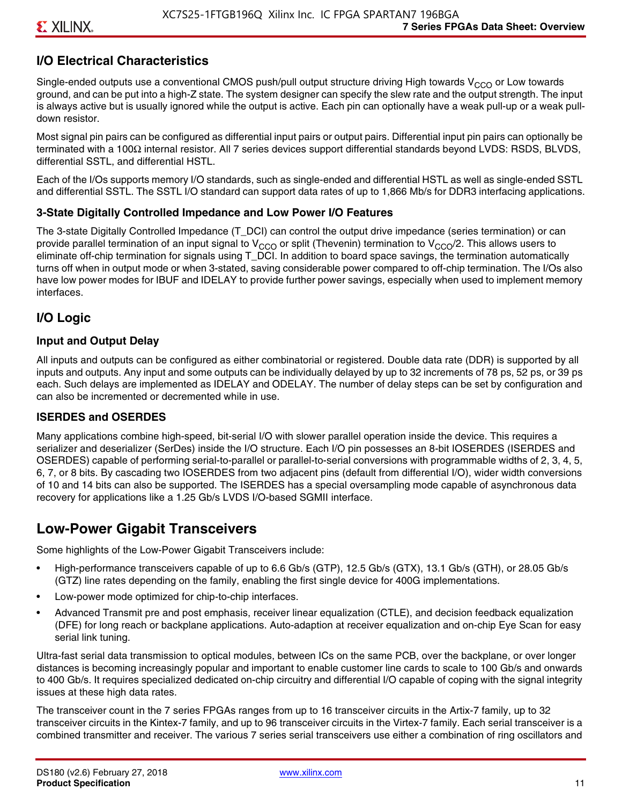# **I/O Electrical Characteristics**

Single-ended outputs use a conventional CMOS push/pull output structure driving High towards  $V_{CCO}$  or Low towards ground, and can be put into a high-Z state. The system designer can specify the slew rate and the output strength. The input is always active but is usually ignored while the output is active. Each pin can optionally have a weak pull-up or a weak pulldown resistor.

Most signal pin pairs can be configured as differential input pairs or output pairs. Differential input pin pairs can optionally be terminated with a 100Ω internal resistor. All 7 series devices support differential standards beyond LVDS: RSDS, BLVDS, differential SSTL, and differential HSTL.

Each of the I/Os supports memory I/O standards, such as single-ended and differential HSTL as well as single-ended SSTL and differential SSTL. The SSTL I/O standard can support data rates of up to 1,866 Mb/s for DDR3 interfacing applications.

#### **3-State Digitally Controlled Impedance and Low Power I/O Features**

The 3-state Digitally Controlled Impedance (T\_DCI) can control the output drive impedance (series termination) or can provide parallel termination of an input signal to V<sub>CCO</sub> or split (Thevenin) termination to V<sub>CCO</sub>/2. This allows users to eliminate off-chip termination for signals using T\_DCI. In addition to board space savings, the termination automatically turns off when in output mode or when 3-stated, saving considerable power compared to off-chip termination. The I/Os also have low power modes for IBUF and IDELAY to provide further power savings, especially when used to implement memory interfaces.

### **I/O Logic**

#### **Input and Output Delay**

All inputs and outputs can be configured as either combinatorial or registered. Double data rate (DDR) is supported by all inputs and outputs. Any input and some outputs can be individually delayed by up to 32 increments of 78 ps, 52 ps, or 39 ps each. Such delays are implemented as IDELAY and ODELAY. The number of delay steps can be set by configuration and can also be incremented or decremented while in use.

#### **ISERDES and OSERDES**

Many applications combine high-speed, bit-serial I/O with slower parallel operation inside the device. This requires a serializer and deserializer (SerDes) inside the I/O structure. Each I/O pin possesses an 8-bit IOSERDES (ISERDES and OSERDES) capable of performing serial-to-parallel or parallel-to-serial conversions with programmable widths of 2, 3, 4, 5, 6, 7, or 8 bits. By cascading two IOSERDES from two adjacent pins (default from differential I/O), wider width conversions of 10 and 14 bits can also be supported. The ISERDES has a special oversampling mode capable of asynchronous data recovery for applications like a 1.25 Gb/s LVDS I/O-based SGMII interface.

# **Low-Power Gigabit Transceivers**

Some highlights of the Low-Power Gigabit Transceivers include:

- High-performance transceivers capable of up to 6.6 Gb/s (GTP), 12.5 Gb/s (GTX), 13.1 Gb/s (GTH), or 28.05 Gb/s (GTZ) line rates depending on the family, enabling the first single device for 400G implementations.
- Low-power mode optimized for chip-to-chip interfaces.
- Advanced Transmit pre and post emphasis, receiver linear equalization (CTLE), and decision feedback equalization (DFE) for long reach or backplane applications. Auto-adaption at receiver equalization and on-chip Eye Scan for easy serial link tuning.

Ultra-fast serial data transmission to optical modules, between ICs on the same PCB, over the backplane, or over longer distances is becoming increasingly popular and important to enable customer line cards to scale to 100 Gb/s and onwards to 400 Gb/s. It requires specialized dedicated on-chip circuitry and differential I/O capable of coping with the signal integrity issues at these high data rates.

The transceiver count in the 7 series FPGAs ranges from up to 16 transceiver circuits in the Artix-7 family, up to 32 transceiver circuits in the Kintex-7 family, and up to 96 transceiver circuits in the Virtex-7 family. Each serial transceiver is a combined transmitter and receiver. The various 7 series serial transceivers use either a combination of ring oscillators and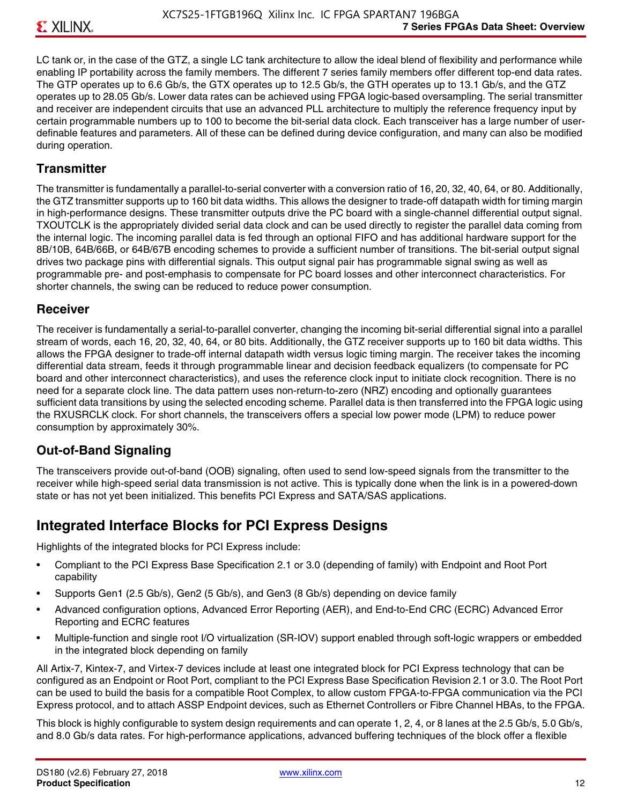LC tank or, in the case of the GTZ, a single LC tank architecture to allow the ideal blend of flexibility and performance while enabling IP portability across the family members. The different 7 series family members offer different top-end data rates. The GTP operates up to 6.6 Gb/s, the GTX operates up to 12.5 Gb/s, the GTH operates up to 13.1 Gb/s, and the GTZ operates up to 28.05 Gb/s. Lower data rates can be achieved using FPGA logic-based oversampling. The serial transmitter and receiver are independent circuits that use an advanced PLL architecture to multiply the reference frequency input by certain programmable numbers up to 100 to become the bit-serial data clock. Each transceiver has a large number of userdefinable features and parameters. All of these can be defined during device configuration, and many can also be modified during operation.

#### **Transmitter**

The transmitter is fundamentally a parallel-to-serial converter with a conversion ratio of 16, 20, 32, 40, 64, or 80. Additionally, the GTZ transmitter supports up to 160 bit data widths. This allows the designer to trade-off datapath width for timing margin in high-performance designs. These transmitter outputs drive the PC board with a single-channel differential output signal. TXOUTCLK is the appropriately divided serial data clock and can be used directly to register the parallel data coming from the internal logic. The incoming parallel data is fed through an optional FIFO and has additional hardware support for the 8B/10B, 64B/66B, or 64B/67B encoding schemes to provide a sufficient number of transitions. The bit-serial output signal drives two package pins with differential signals. This output signal pair has programmable signal swing as well as programmable pre- and post-emphasis to compensate for PC board losses and other interconnect characteristics. For shorter channels, the swing can be reduced to reduce power consumption.

#### **Receiver**

The receiver is fundamentally a serial-to-parallel converter, changing the incoming bit-serial differential signal into a parallel stream of words, each 16, 20, 32, 40, 64, or 80 bits. Additionally, the GTZ receiver supports up to 160 bit data widths. This allows the FPGA designer to trade-off internal datapath width versus logic timing margin. The receiver takes the incoming differential data stream, feeds it through programmable linear and decision feedback equalizers (to compensate for PC board and other interconnect characteristics), and uses the reference clock input to initiate clock recognition. There is no need for a separate clock line. The data pattern uses non-return-to-zero (NRZ) encoding and optionally guarantees sufficient data transitions by using the selected encoding scheme. Parallel data is then transferred into the FPGA logic using the RXUSRCLK clock. For short channels, the transceivers offers a special low power mode (LPM) to reduce power consumption by approximately 30%.

### **Out-of-Band Signaling**

The transceivers provide out-of-band (OOB) signaling, often used to send low-speed signals from the transmitter to the receiver while high-speed serial data transmission is not active. This is typically done when the link is in a powered-down state or has not yet been initialized. This benefits PCI Express and SATA/SAS applications.

# **Integrated Interface Blocks for PCI Express Designs**

Highlights of the integrated blocks for PCI Express include:

- Compliant to the PCI Express Base Specification 2.1 or 3.0 (depending of family) with Endpoint and Root Port capability
- Supports Gen1 (2.5 Gb/s), Gen2 (5 Gb/s), and Gen3 (8 Gb/s) depending on device family
- Advanced configuration options, Advanced Error Reporting (AER), and End-to-End CRC (ECRC) Advanced Error Reporting and ECRC features
- Multiple-function and single root I/O virtualization (SR-IOV) support enabled through soft-logic wrappers or embedded in the integrated block depending on family

All Artix-7, Kintex-7, and Virtex-7 devices include at least one integrated block for PCI Express technology that can be configured as an Endpoint or Root Port, compliant to the PCI Express Base Specification Revision 2.1 or 3.0. The Root Port can be used to build the basis for a compatible Root Complex, to allow custom FPGA-to-FPGA communication via the PCI Express protocol, and to attach ASSP Endpoint devices, such as Ethernet Controllers or Fibre Channel HBAs, to the FPGA.

This block is highly configurable to system design requirements and can operate 1, 2, 4, or 8 lanes at the 2.5 Gb/s, 5.0 Gb/s, and 8.0 Gb/s data rates. For high-performance applications, advanced buffering techniques of the block offer a flexible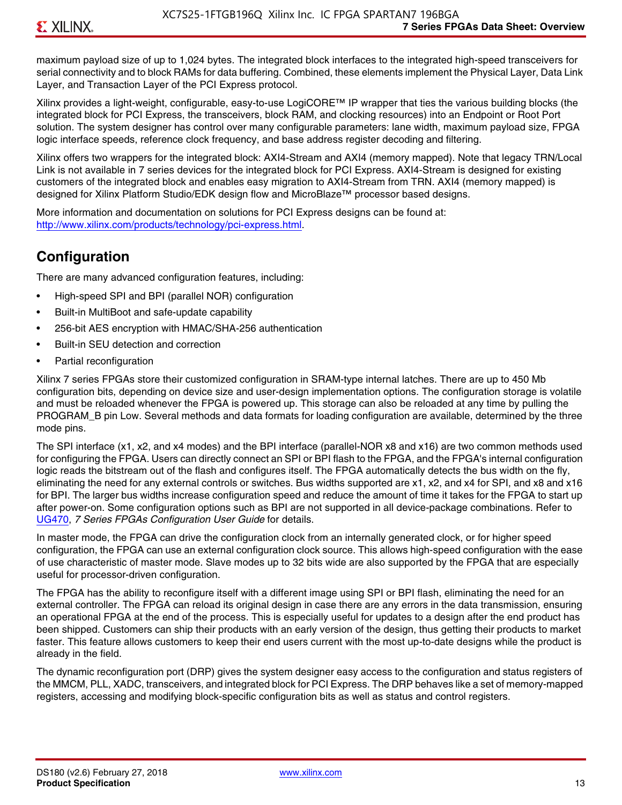maximum payload size of up to 1,024 bytes. The integrated block interfaces to the integrated high-speed transceivers for serial connectivity and to block RAMs for data buffering. Combined, these elements implement the Physical Layer, Data Link Layer, and Transaction Layer of the PCI Express protocol.

Xilinx provides a light-weight, configurable, easy-to-use LogiCORE™ IP wrapper that ties the various building blocks (the integrated block for PCI Express, the transceivers, block RAM, and clocking resources) into an Endpoint or Root Port solution. The system designer has control over many configurable parameters: lane width, maximum payload size, FPGA logic interface speeds, reference clock frequency, and base address register decoding and filtering.

Xilinx offers two wrappers for the integrated block: AXI4-Stream and AXI4 (memory mapped). Note that legacy TRN/Local Link is not available in 7 series devices for the integrated block for PCI Express. AXI4-Stream is designed for existing customers of the integrated block and enables easy migration to AXI4-Stream from TRN. AXI4 (memory mapped) is designed for Xilinx Platform Studio/EDK design flow and MicroBlaze™ processor based designs.

More information and documentation on solutions for PCI Express designs can be found at: <http://www.xilinx.com/products/technology/pci-express.html>.

# **Configuration**

There are many advanced configuration features, including:

- High-speed SPI and BPI (parallel NOR) configuration
- Built-in MultiBoot and safe-update capability
- 256-bit AES encryption with HMAC/SHA-256 authentication
- Built-in SEU detection and correction
- Partial reconfiguration

Xilinx 7 series FPGAs store their customized configuration in SRAM-type internal latches. There are up to 450 Mb configuration bits, depending on device size and user-design implementation options. The configuration storage is volatile and must be reloaded whenever the FPGA is powered up. This storage can also be reloaded at any time by pulling the PROGRAM B pin Low. Several methods and data formats for loading configuration are available, determined by the three mode pins.

The SPI interface (x1, x2, and x4 modes) and the BPI interface (parallel-NOR x8 and x16) are two common methods used for configuring the FPGA. Users can directly connect an SPI or BPI flash to the FPGA, and the FPGA's internal configuration logic reads the bitstream out of the flash and configures itself. The FPGA automatically detects the bus width on the fly, eliminating the need for any external controls or switches. Bus widths supported are x1, x2, and x4 for SPI, and x8 and x16 for BPI. The larger bus widths increase configuration speed and reduce the amount of time it takes for the FPGA to start up after power-on. Some configuration options such as BPI are not supported in all device-package combinations. Refer to [UG470,](http://www.xilinx.com/support/documentation/user_guides/ug470_7Series_Config.pdf) *7 Series FPGAs Configuration User Guide* for details.

In master mode, the FPGA can drive the configuration clock from an internally generated clock, or for higher speed configuration, the FPGA can use an external configuration clock source. This allows high-speed configuration with the ease of use characteristic of master mode. Slave modes up to 32 bits wide are also supported by the FPGA that are especially useful for processor-driven configuration.

The FPGA has the ability to reconfigure itself with a different image using SPI or BPI flash, eliminating the need for an external controller. The FPGA can reload its original design in case there are any errors in the data transmission, ensuring an operational FPGA at the end of the process. This is especially useful for updates to a design after the end product has been shipped. Customers can ship their products with an early version of the design, thus getting their products to market faster. This feature allows customers to keep their end users current with the most up-to-date designs while the product is already in the field.

The dynamic reconfiguration port (DRP) gives the system designer easy access to the configuration and status registers of the MMCM, PLL, XADC, transceivers, and integrated block for PCI Express. The DRP behaves like a set of memory-mapped registers, accessing and modifying block-specific configuration bits as well as status and control registers.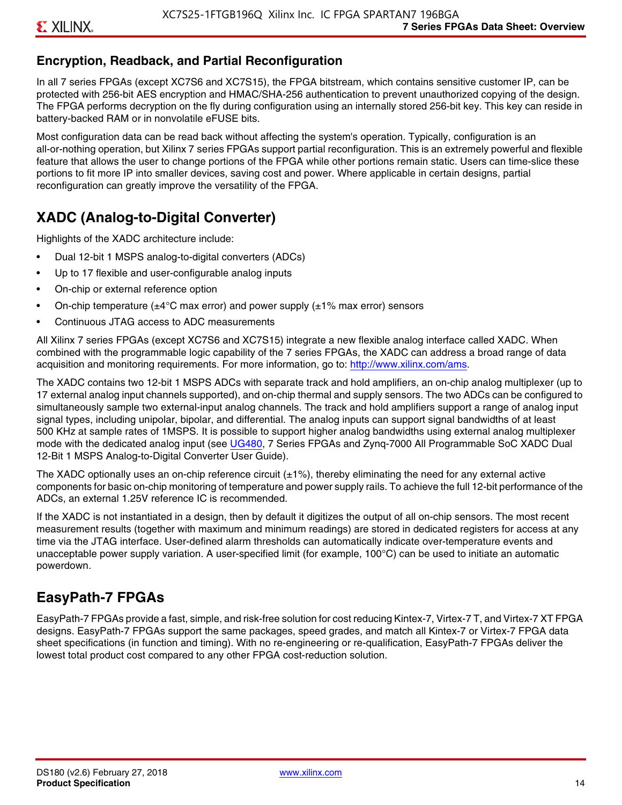# **Encryption, Readback, and Partial Reconfiguration**

In all 7 series FPGAs (except XC7S6 and XC7S15), the FPGA bitstream, which contains sensitive customer IP, can be protected with 256-bit AES encryption and HMAC/SHA-256 authentication to prevent unauthorized copying of the design. The FPGA performs decryption on the fly during configuration using an internally stored 256-bit key. This key can reside in battery-backed RAM or in nonvolatile eFUSE bits.

Most configuration data can be read back without affecting the system's operation. Typically, configuration is an all-or-nothing operation, but Xilinx 7 series FPGAs support partial reconfiguration. This is an extremely powerful and flexible feature that allows the user to change portions of the FPGA while other portions remain static. Users can time-slice these portions to fit more IP into smaller devices, saving cost and power. Where applicable in certain designs, partial reconfiguration can greatly improve the versatility of the FPGA.

# **XADC (Analog-to-Digital Converter)**

Highlights of the XADC architecture include:

- Dual 12-bit 1 MSPS analog-to-digital converters (ADCs)
- Up to 17 flexible and user-configurable analog inputs
- On-chip or external reference option
- On-chip temperature ( $\pm 4^{\circ}$ C max error) and power supply ( $\pm 1\%$  max error) sensors
- Continuous JTAG access to ADC measurements

All Xilinx 7 series FPGAs (except XC7S6 and XC7S15) integrate a new flexible analog interface called XADC. When combined with the programmable logic capability of the 7 series FPGAs, the XADC can address a broad range of data acquisition and monitoring requirements. For more information, go to: [http://www.xilinx.com/ams.](http://www.xilinx.com/ams)

The XADC contains two 12-bit 1 MSPS ADCs with separate track and hold amplifiers, an on-chip analog multiplexer (up to 17 external analog input channels supported), and on-chip thermal and supply sensors. The two ADCs can be configured to simultaneously sample two external-input analog channels. The track and hold amplifiers support a range of analog input signal types, including unipolar, bipolar, and differential. The analog inputs can support signal bandwidths of at least 500 KHz at sample rates of 1MSPS. It is possible to support higher analog bandwidths using external analog multiplexer mode with the dedicated analog input (see [UG480](http://www.xilinx.com/support/documentation/user_guides/ug480_7Series_XADC.pdf), 7 Series FPGAs and Zynq-7000 All Programmable SoC XADC Dual 12-Bit 1 MSPS Analog-to-Digital Converter User Guide)*.*

The XADC optionally uses an on-chip reference circuit  $(\pm 1\%)$ , thereby eliminating the need for any external active components for basic on-chip monitoring of temperature and power supply rails. To achieve the full 12-bit performance of the ADCs, an external 1.25V reference IC is recommended.

If the XADC is not instantiated in a design, then by default it digitizes the output of all on-chip sensors. The most recent measurement results (together with maximum and minimum readings) are stored in dedicated registers for access at any time via the JTAG interface. User-defined alarm thresholds can automatically indicate over-temperature events and unacceptable power supply variation. A user-specified limit (for example, 100°C) can be used to initiate an automatic powerdown.

# **EasyPath-7 FPGAs**

EasyPath-7 FPGAs provide a fast, simple, and risk-free solution for cost reducing Kintex-7, Virtex-7 T, and Virtex-7 XT FPGA designs. EasyPath-7 FPGAs support the same packages, speed grades, and match all Kintex-7 or Virtex-7 FPGA data sheet specifications (in function and timing). With no re-engineering or re-qualification, EasyPath-7 FPGAs deliver the lowest total product cost compared to any other FPGA cost-reduction solution.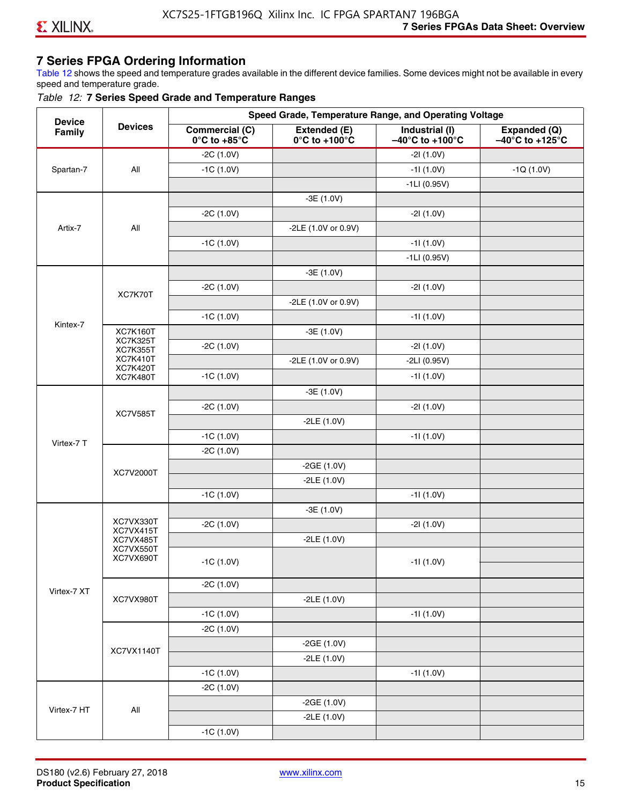### **7 Series FPGA Ordering Information**

Table 12 shows the speed and temperature grades available in the different device families. Some devices might not be available in every speed and temperature grade.

#### *Table 12:* **7 Series Speed Grade and Temperature Ranges**

| <b>Device</b> |                                    |                                                        |                                                    | Speed Grade, Temperature Range, and Operating Voltage  |                                                      |
|---------------|------------------------------------|--------------------------------------------------------|----------------------------------------------------|--------------------------------------------------------|------------------------------------------------------|
| Family        | <b>Devices</b>                     | <b>Commercial (C)</b><br>$0^\circ$ C to +85 $^\circ$ C | Extended (E)<br>$0^{\circ}$ C to +100 $^{\circ}$ C | Industrial (I)<br>$-40^{\circ}$ C to +100 $^{\circ}$ C | Expanded (Q)<br>$-40^{\circ}$ C to +125 $^{\circ}$ C |
|               |                                    | $-2C(1.0V)$                                            |                                                    | $-21(1.0V)$                                            |                                                      |
| Spartan-7     | All                                | $-1C(1.0V)$                                            |                                                    | $-11(1.0V)$                                            | $-1Q(1.0V)$                                          |
|               |                                    |                                                        |                                                    | $-1LI(0.95V)$                                          |                                                      |
|               |                                    |                                                        | $-3E(1.0V)$                                        |                                                        |                                                      |
|               |                                    | $-2C(1.0V)$                                            |                                                    | $-21(1.0V)$                                            |                                                      |
| Artix-7       | All                                |                                                        | -2LE (1.0V or 0.9V)                                |                                                        |                                                      |
|               |                                    | $-1C(1.0V)$                                            |                                                    | $-11(1.0V)$                                            |                                                      |
|               |                                    |                                                        |                                                    | $-1LI(0.95V)$                                          |                                                      |
|               |                                    |                                                        | $-3E(1.0V)$                                        |                                                        |                                                      |
|               | XC7K70T                            | $-2C(1.0V)$                                            |                                                    | $-21(1.0V)$                                            |                                                      |
|               |                                    |                                                        | -2LE (1.0V or 0.9V)                                |                                                        |                                                      |
|               |                                    | $-1C(1.0V)$                                            |                                                    | $-11(1.0V)$                                            |                                                      |
| Kintex-7      | <b>XC7K160T</b>                    |                                                        | $-3E(1.0V)$                                        |                                                        |                                                      |
|               | <b>XC7K325T</b><br><b>XC7K355T</b> | $-2C(1.0V)$                                            |                                                    | $-21(1.0V)$                                            |                                                      |
|               | <b>XC7K410T</b>                    |                                                        | -2LE (1.0V or 0.9V)                                | $-2LI(0.95V)$                                          |                                                      |
|               | <b>XC7K420T</b><br><b>XC7K480T</b> | $-1C(1.0V)$                                            |                                                    | $-11(1.0V)$                                            |                                                      |
|               |                                    |                                                        | $-3E(1.0V)$                                        |                                                        |                                                      |
|               |                                    | $-2C(1.0V)$                                            |                                                    | $-21(1.0V)$                                            |                                                      |
|               | <b>XC7V585T</b>                    |                                                        | $-2LE(1.0V)$                                       |                                                        |                                                      |
|               |                                    | $-1C(1.0V)$                                            |                                                    | $-11(1.0V)$                                            |                                                      |
| Virtex-7 T    |                                    | $-2C(1.0V)$                                            |                                                    |                                                        |                                                      |
|               |                                    |                                                        | $-2GE(1.0V)$                                       |                                                        |                                                      |
|               | XC7V2000T                          |                                                        | $-2LE(1.0V)$                                       |                                                        |                                                      |
|               |                                    | $-1C(1.0V)$                                            |                                                    | $-11(1.0V)$                                            |                                                      |
|               |                                    |                                                        | $-3E(1.0V)$                                        |                                                        |                                                      |
|               | XC7VX330T                          | $-2C(1.0V)$                                            |                                                    | $-21(1.0V)$                                            |                                                      |
|               | XC7VX415T<br>XC7VX485T             |                                                        | $-2LE(1.0V)$                                       |                                                        |                                                      |
|               | XC7VX550T<br>XC7VX690T             |                                                        |                                                    |                                                        |                                                      |
|               |                                    | $-1C(1.0V)$                                            |                                                    | $-11(1.0V)$                                            |                                                      |
|               |                                    | $-2C(1.0V)$                                            |                                                    |                                                        |                                                      |
| Virtex-7 XT   | XC7VX980T                          |                                                        | $-2LE(1.0V)$                                       |                                                        |                                                      |
|               |                                    | $-1C(1.0V)$                                            |                                                    | $-11(1.0V)$                                            |                                                      |
|               |                                    | $-2C(1.0V)$                                            |                                                    |                                                        |                                                      |
|               |                                    |                                                        | $-2GE(1.0V)$                                       |                                                        |                                                      |
|               | XC7VX1140T                         |                                                        | $-2LE(1.0V)$                                       |                                                        |                                                      |
|               |                                    | $-1C(1.0V)$                                            |                                                    | $-11(1.0V)$                                            |                                                      |
|               |                                    | $-2C(1.0V)$                                            |                                                    |                                                        |                                                      |
|               |                                    |                                                        | $-2GE(1.0V)$                                       |                                                        |                                                      |
| Virtex-7 HT   | All                                |                                                        | $-2LE(1.0V)$                                       |                                                        |                                                      |
|               |                                    | $-1C(1.0V)$                                            |                                                    |                                                        |                                                      |
|               |                                    |                                                        |                                                    |                                                        |                                                      |

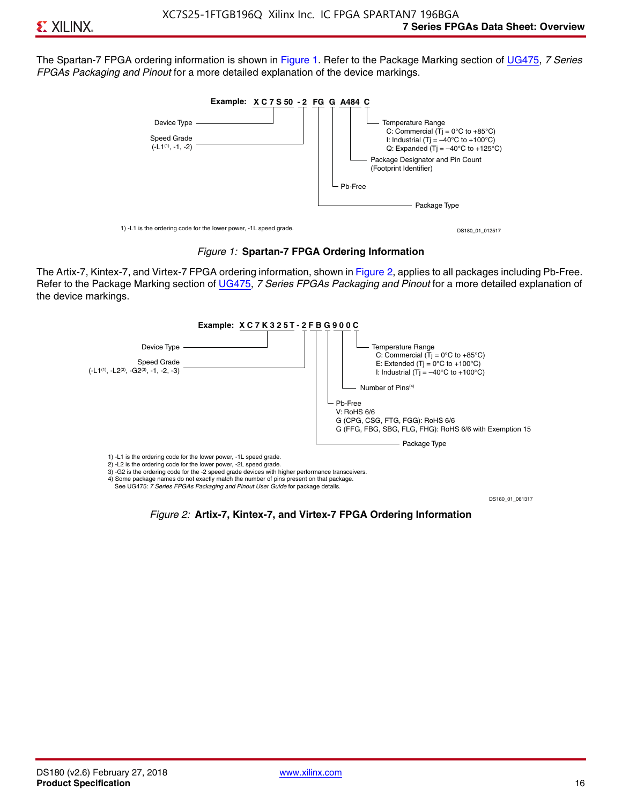The Spartan-7 FPGA ordering information is shown in Figure 1. Refer to the Package Marking section of [UG475,](http://www.xilinx.com/support/documentation/user_guides/ug475_7Series_Pkg_Pinout.pdf) *7 Series FPGAs Packaging and Pinout* for a more detailed explanation of the device markings.





The Artix-7, Kintex-7, and Virtex-7 FPGA ordering information, shown in Figure 2, applies to all packages including Pb-Free. Refer to the Package Marking section of [UG475](http://www.xilinx.com/support/documentation/user_guides/ug475_7Series_Pkg_Pinout.pdf), *7 Series FPGAs Packaging and Pinout* for a more detailed explanation of the device markings.



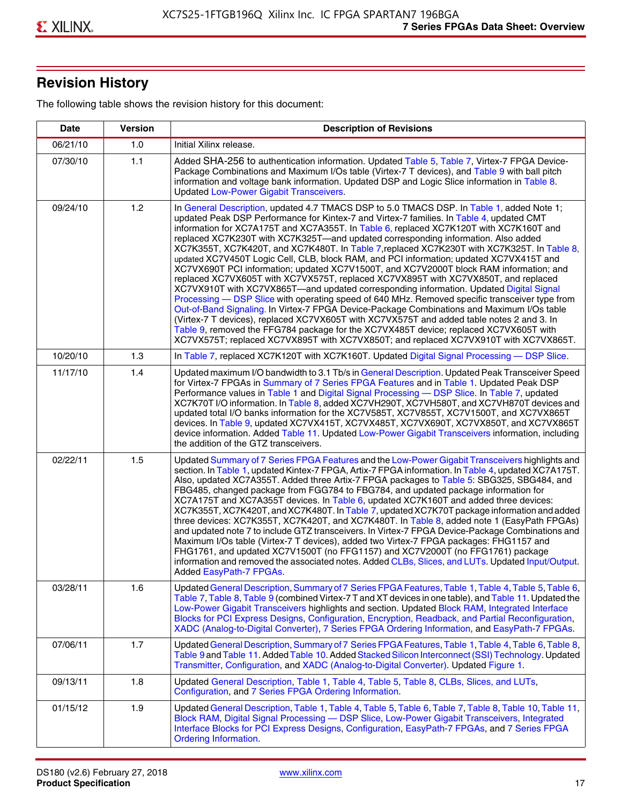# **Revision History**

The following table shows the revision history for this document:

| <b>Date</b> | <b>Version</b> | <b>Description of Revisions</b>                                                                                                                                                                                                                                                                                                                                                                                                                                                                                                                                                                                                                                                                                                                                                                                                                                                                                                                                                                                                                                                                                                                                                                                                                                                                                       |
|-------------|----------------|-----------------------------------------------------------------------------------------------------------------------------------------------------------------------------------------------------------------------------------------------------------------------------------------------------------------------------------------------------------------------------------------------------------------------------------------------------------------------------------------------------------------------------------------------------------------------------------------------------------------------------------------------------------------------------------------------------------------------------------------------------------------------------------------------------------------------------------------------------------------------------------------------------------------------------------------------------------------------------------------------------------------------------------------------------------------------------------------------------------------------------------------------------------------------------------------------------------------------------------------------------------------------------------------------------------------------|
| 06/21/10    | 1.0            | Initial Xilinx release.                                                                                                                                                                                                                                                                                                                                                                                                                                                                                                                                                                                                                                                                                                                                                                                                                                                                                                                                                                                                                                                                                                                                                                                                                                                                                               |
| 07/30/10    | 1.1            | Added SHA-256 to authentication information. Updated Table 5, Table 7, Virtex-7 FPGA Device-<br>Package Combinations and Maximum I/Os table (Virtex-7 T devices), and Table 9 with ball pitch<br>information and voltage bank information. Updated DSP and Logic Slice information in Table 8.<br><b>Updated Low-Power Gigabit Transceivers.</b>                                                                                                                                                                                                                                                                                                                                                                                                                                                                                                                                                                                                                                                                                                                                                                                                                                                                                                                                                                      |
| 09/24/10    | 1.2            | In General Description, updated 4.7 TMACS DSP to 5.0 TMACS DSP. In Table 1, added Note 1;<br>updated Peak DSP Performance for Kintex-7 and Virtex-7 families. In Table 4, updated CMT<br>information for XC7A175T and XC7A355T. In Table 6, replaced XC7K120T with XC7K160T and<br>replaced XC7K230T with XC7K325T-and updated corresponding information. Also added<br>XC7K355T, XC7K420T, and XC7K480T. In Table 7, replaced XC7K230T with XC7K325T. In Table 8,<br>updated XC7V450T Logic Cell, CLB, block RAM, and PCI information; updated XC7VX415T and<br>XC7VX690T PCI information; updated XC7V1500T, and XC7V2000T block RAM information; and<br>replaced XC7VX605T with XC7VX575T, replaced XC7VX895T with XC7VX850T, and replaced<br>XC7VX910T with XC7VX865T—and updated corresponding information. Updated Digital Signal<br>Processing - DSP Slice with operating speed of 640 MHz. Removed specific transceiver type from<br>Out-of-Band Signaling. In Virtex-7 FPGA Device-Package Combinations and Maximum I/Os table<br>(Virtex-7 T devices), replaced XC7VX605T with XC7VX575T and added table notes 2 and 3. In<br>Table 9, removed the FFG784 package for the XC7VX485T device; replaced XC7VX605T with<br>XC7VX575T; replaced XC7VX895T with XC7VX850T; and replaced XC7VX910T with XC7VX865T. |
| 10/20/10    | 1.3            | In Table 7, replaced XC7K120T with XC7K160T. Updated Digital Signal Processing - DSP Slice.                                                                                                                                                                                                                                                                                                                                                                                                                                                                                                                                                                                                                                                                                                                                                                                                                                                                                                                                                                                                                                                                                                                                                                                                                           |
| 11/17/10    | 1.4            | Updated maximum I/O bandwidth to 3.1 Tb/s in General Description. Updated Peak Transceiver Speed<br>for Virtex-7 FPGAs in Summary of 7 Series FPGA Features and in Table 1. Updated Peak DSP<br>Performance values in Table 1 and Digital Signal Processing - DSP Slice. In Table 7, updated<br>XC7K70T I/O information. In Table 8, added XC7VH290T, XC7VH580T, and XC7VH870T devices and<br>updated total I/O banks information for the XC7V585T, XC7V855T, XC7V1500T, and XC7VX865T<br>devices. In Table 9, updated XC7VX415T, XC7VX485T, XC7VX690T, XC7VX850T, and XC7VX865T<br>device information. Added Table 11. Updated Low-Power Gigabit Transceivers information, including<br>the addition of the GTZ transceivers.                                                                                                                                                                                                                                                                                                                                                                                                                                                                                                                                                                                        |
| 02/22/11    | 1.5            | Updated Summary of 7 Series FPGA Features and the Low-Power Gigabit Transceivers highlights and<br>section. In Table 1, updated Kintex-7 FPGA, Artix-7 FPGA information. In Table 4, updated XC7A175T.<br>Also, updated XC7A355T. Added three Artix-7 FPGA packages to Table 5: SBG325, SBG484, and<br>FBG485, changed package from FGG784 to FBG784, and updated package information for<br>XC7A175T and XC7A355T devices. In Table 6, updated XC7K160T and added three devices:<br>XC7K355T, XC7K420T, and XC7K480T. In Table 7, updated XC7K70T package information and added<br>three devices: XC7K355T, XC7K420T, and XC7K480T. In Table 8, added note 1 (EasyPath FPGAs)<br>and updated note 7 to include GTZ transceivers. In Virtex-7 FPGA Device-Package Combinations and<br>Maximum I/Os table (Virtex-7 T devices), added two Virtex-7 FPGA packages: FHG1157 and<br>FHG1761, and updated XC7V1500T (no FFG1157) and XC7V2000T (no FFG1761) package<br>information and removed the associated notes. Added CLBs, Slices, and LUTs. Updated Input/Output.<br>Added EasyPath-7 FPGAs.                                                                                                                                                                                                                        |
| 03/28/11    | 1.6            | Updated General Description, Summary of 7 Series FPGA Features, Table 1, Table 4, Table 5, Table 6,<br>Table 7, Table 8, Table 9 (combined Virtex-7 T and XT devices in one table), and Table 11. Updated the<br>Low-Power Gigabit Transceivers highlights and section. Updated Block RAM, Integrated Interface<br>Blocks for PCI Express Designs, Configuration, Encryption, Readback, and Partial Reconfiguration,<br>XADC (Analog-to-Digital Converter), 7 Series FPGA Ordering Information, and EasyPath-7 FPGAs.                                                                                                                                                                                                                                                                                                                                                                                                                                                                                                                                                                                                                                                                                                                                                                                                 |
| 07/06/11    | 1.7            | Updated General Description, Summary of 7 Series FPGA Features, Table 1, Table 4, Table 6, Table 8,<br>Table 9 and Table 11. Added Table 10. Added Stacked Silicon Interconnect (SSI) Technology. Updated<br>Transmitter, Configuration, and XADC (Analog-to-Digital Converter). Updated Figure 1.                                                                                                                                                                                                                                                                                                                                                                                                                                                                                                                                                                                                                                                                                                                                                                                                                                                                                                                                                                                                                    |
| 09/13/11    | 1.8            | Updated General Description, Table 1, Table 4, Table 5, Table 8, CLBs, Slices, and LUTs,<br>Configuration, and 7 Series FPGA Ordering Information.                                                                                                                                                                                                                                                                                                                                                                                                                                                                                                                                                                                                                                                                                                                                                                                                                                                                                                                                                                                                                                                                                                                                                                    |
| 01/15/12    | 1.9            | Updated General Description, Table 1, Table 4, Table 5, Table 6, Table 7, Table 8, Table 10, Table 11,<br>Block RAM, Digital Signal Processing - DSP Slice, Low-Power Gigabit Transceivers, Integrated<br>Interface Blocks for PCI Express Designs, Configuration, EasyPath-7 FPGAs, and 7 Series FPGA<br><b>Ordering Information.</b>                                                                                                                                                                                                                                                                                                                                                                                                                                                                                                                                                                                                                                                                                                                                                                                                                                                                                                                                                                                |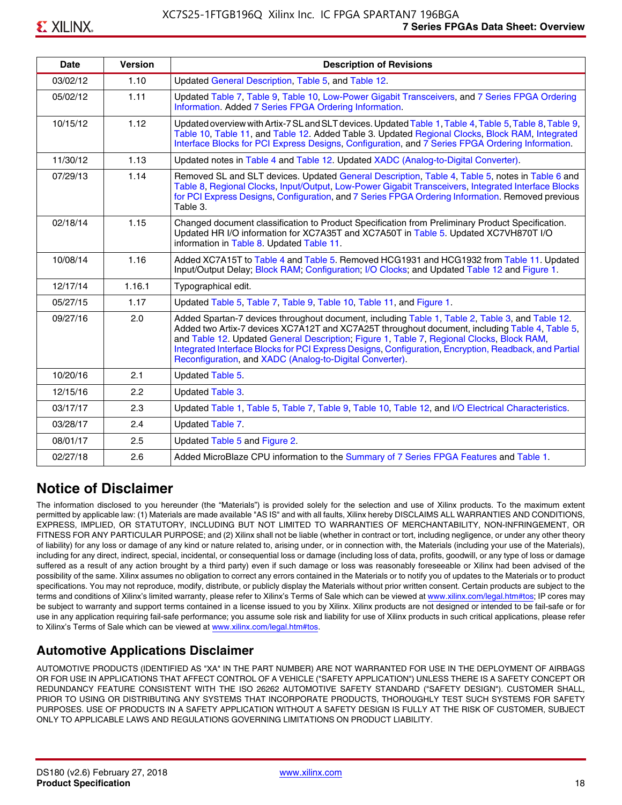| <b>Date</b> | <b>Version</b> | <b>Description of Revisions</b>                                                                                                                                                                                                                                                                                                                                                                                                                                     |
|-------------|----------------|---------------------------------------------------------------------------------------------------------------------------------------------------------------------------------------------------------------------------------------------------------------------------------------------------------------------------------------------------------------------------------------------------------------------------------------------------------------------|
| 03/02/12    | 1.10           | Updated General Description, Table 5, and Table 12.                                                                                                                                                                                                                                                                                                                                                                                                                 |
| 05/02/12    | 1.11           | Updated Table 7, Table 9, Table 10, Low-Power Gigabit Transceivers, and 7 Series FPGA Ordering<br>Information. Added 7 Series FPGA Ordering Information.                                                                                                                                                                                                                                                                                                            |
| 10/15/12    | 1.12           | Updated overview with Artix-7 SL and SLT devices. Updated Table 1, Table 4, Table 5, Table 8, Table 9,<br>Table 10, Table 11, and Table 12. Added Table 3. Updated Regional Clocks, Block RAM, Integrated<br>Interface Blocks for PCI Express Designs, Configuration, and 7 Series FPGA Ordering Information.                                                                                                                                                       |
| 11/30/12    | 1.13           | Updated notes in Table 4 and Table 12. Updated XADC (Analog-to-Digital Converter).                                                                                                                                                                                                                                                                                                                                                                                  |
| 07/29/13    | 1.14           | Removed SL and SLT devices. Updated General Description, Table 4, Table 5, notes in Table 6 and<br>Table 8, Regional Clocks, Input/Output, Low-Power Gigabit Transceivers, Integrated Interface Blocks<br>for PCI Express Designs, Configuration, and 7 Series FPGA Ordering Information. Removed previous<br>Table 3.                                                                                                                                              |
| 02/18/14    | 1.15           | Changed document classification to Product Specification from Preliminary Product Specification.<br>Updated HR I/O information for XC7A35T and XC7A50T in Table 5. Updated XC7VH870T I/O<br>information in Table 8. Updated Table 11.                                                                                                                                                                                                                               |
| 10/08/14    | 1.16           | Added XC7A15T to Table 4 and Table 5. Removed HCG1931 and HCG1932 from Table 11. Updated<br>Input/Output Delay; Block RAM; Configuration; I/O Clocks; and Updated Table 12 and Figure 1.                                                                                                                                                                                                                                                                            |
| 12/17/14    | 1.16.1         | Typographical edit.                                                                                                                                                                                                                                                                                                                                                                                                                                                 |
| 05/27/15    | 1.17           | Updated Table 5, Table 7, Table 9, Table 10, Table 11, and Figure 1.                                                                                                                                                                                                                                                                                                                                                                                                |
| 09/27/16    | 2.0            | Added Spartan-7 devices throughout document, including Table 1, Table 2, Table 3, and Table 12.<br>Added two Artix-7 devices XC7A12T and XC7A25T throughout document, including Table 4, Table 5,<br>and Table 12. Updated General Description; Figure 1, Table 7, Regional Clocks, Block RAM,<br>Integrated Interface Blocks for PCI Express Designs, Configuration, Encryption, Readback, and Partial<br>Reconfiguration, and XADC (Analog-to-Digital Converter). |
| 10/20/16    | 2.1            | Updated Table 5.                                                                                                                                                                                                                                                                                                                                                                                                                                                    |
| 12/15/16    | 2.2            | Updated Table 3.                                                                                                                                                                                                                                                                                                                                                                                                                                                    |
| 03/17/17    | 2.3            | Updated Table 1, Table 5, Table 7, Table 9, Table 10, Table 12, and I/O Electrical Characteristics.                                                                                                                                                                                                                                                                                                                                                                 |
| 03/28/17    | 2.4            | Updated Table 7.                                                                                                                                                                                                                                                                                                                                                                                                                                                    |
| 08/01/17    | 2.5            | Updated Table 5 and Figure 2.                                                                                                                                                                                                                                                                                                                                                                                                                                       |
| 02/27/18    | 2.6            | Added MicroBlaze CPU information to the Summary of 7 Series FPGA Features and Table 1.                                                                                                                                                                                                                                                                                                                                                                              |

# **Notice of Disclaimer**

The information disclosed to you hereunder (the "Materials") is provided solely for the selection and use of Xilinx products. To the maximum extent permitted by applicable law: (1) Materials are made available "AS IS" and with all faults, Xilinx hereby DISCLAIMS ALL WARRANTIES AND CONDITIONS, EXPRESS, IMPLIED, OR STATUTORY, INCLUDING BUT NOT LIMITED TO WARRANTIES OF MERCHANTABILITY, NON-INFRINGEMENT, OR FITNESS FOR ANY PARTICULAR PURPOSE; and (2) Xilinx shall not be liable (whether in contract or tort, including negligence, or under any other theory of liability) for any loss or damage of any kind or nature related to, arising under, or in connection with, the Materials (including your use of the Materials), including for any direct, indirect, special, incidental, or consequential loss or damage (including loss of data, profits, goodwill, or any type of loss or damage suffered as a result of any action brought by a third party) even if such damage or loss was reasonably foreseeable or Xilinx had been advised of the possibility of the same. Xilinx assumes no obligation to correct any errors contained in the Materials or to notify you of updates to the Materials or to product specifications. You may not reproduce, modify, distribute, or publicly display the Materials without prior written consent. Certain products are subject to the terms and conditions of Xilinx's limited warranty, please refer to Xilinx's Terms of Sale which can be viewed at [www.xilinx.com/legal.htm#tos;](www.xilinx.com/legal.htm#tos) IP cores may be subject to warranty and support terms contained in a license issued to you by Xilinx. Xilinx products are not designed or intended to be fail-safe or for use in any application requiring fail-safe performance; you assume sole risk and liability for use of Xilinx products in such critical applications, please refer to Xilinx's Terms of Sale which can be viewed at <www.xilinx.com/legal.htm#tos>.

# **Automotive Applications Disclaimer**

AUTOMOTIVE PRODUCTS (IDENTIFIED AS "XA" IN THE PART NUMBER) ARE NOT WARRANTED FOR USE IN THE DEPLOYMENT OF AIRBAGS OR FOR USE IN APPLICATIONS THAT AFFECT CONTROL OF A VEHICLE ("SAFETY APPLICATION") UNLESS THERE IS A SAFETY CONCEPT OR REDUNDANCY FEATURE CONSISTENT WITH THE ISO 26262 AUTOMOTIVE SAFETY STANDARD ("SAFETY DESIGN"). CUSTOMER SHALL, PRIOR TO USING OR DISTRIBUTING ANY SYSTEMS THAT INCORPORATE PRODUCTS, THOROUGHLY TEST SUCH SYSTEMS FOR SAFETY PURPOSES. USE OF PRODUCTS IN A SAFETY APPLICATION WITHOUT A SAFETY DESIGN IS FULLY AT THE RISK OF CUSTOMER, SUBJECT ONLY TO APPLICABLE LAWS AND REGULATIONS GOVERNING LIMITATIONS ON PRODUCT LIABILITY.